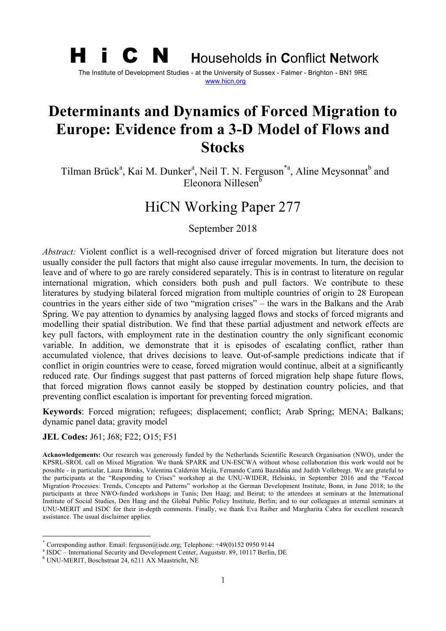# H i C N **<sup>H</sup>**ouseholds **i**n **C**onflict **<sup>N</sup>**etwork The Institute of Development Studies - at the University of Sussex - Falmer - Brighton - BN1 9RE www.hicn.org

# **Determinants and Dynamics of Forced Migration to Europe: Evidence from a 3-D Model of Flows and Stocks**

Tilman Brück<sup>a</sup>, Kai M. Dunker<sup>a</sup>, Neil T. N. Ferguson<sup>\*a</sup>, Aline Meysonnat<sup>b</sup> and Eleonora Nillesen $<sup>5</sup>$ </sup>

# HiCN Working Paper 277

September 2018

*Abstract:* Violent conflict is a well-recognised driver of forced migration but literature does not usually consider the pull factors that might also cause irregular movements. In turn, the decision to leave and of where to go are rarely considered separately. This is in contrast to literature on regular international migration, which considers both push and pull factors. We contribute to these literatures by studying bilateral forced migration from multiple countries of origin to 28 European countries in the years either side of two "migration crises" – the wars in the Balkans and the Arab Spring. We pay attention to dynamics by analysing lagged flows and stocks of forced migrants and modelling their spatial distribution. We find that these partial adjustment and network effects are key pull factors, with employment rate in the destination country the only significant economic variable. In addition, we demonstrate that it is episodes of escalating conflict, rather than accumulated violence, that drives decisions to leave. Out-of-sample predictions indicate that if conflict in origin countries were to cease, forced migration would continue, albeit at a significantly reduced rate. Our findings suggest that past patterns of forced migration help shape future flows, that forced migration flows cannot easily be stopped by destination country policies, and that preventing conflict escalation is important for preventing forced migration.

**Keywords**: Forced migration; refugees; displacement; conflict; Arab Spring; MENA; Balkans; dynamic panel data; gravity model

**JEL Codes:** J61; J68; F22; O15; F51

**Acknowledgements:** Our research was generously funded by the Netherlands Scientific Research Organisation (NWO), under the KPSRL-SROL call on Mixed Migration. We thank SPARK and UN-ESCWA without whose collaboration this work would not be possible - in particular, Laura Brinks, Valentina Calderòn Mejía, Fernando Cantú Bazaldúa and Judith Vollebregt. We are grateful to the participants at the "Responding to Crises" workshop at the UNU-WIDER, Helsinki, in September 2016 and the "Forced Migration Processes: Trends, Concepts and Patterns" workshop at the German Development Institute, Bonn, in June 2018; to the participants at three NWO-funded workshops in Tunis; Den Haag; and Beirut; to the attendees at seminars at the International Institute of Social Studies, Den Haag and the Global Public Policy Institute, Berlin; and to our colleagues at internal seminars at UNU-MERIT and ISDC for their in-depth comments. Finally, we thank Eva Raiber and Margharita Cabra for excellent research assistance. The usual disclaimer applies.

<sup>\*</sup> Corresponding author. Email: ferguson@isdc.org; Telephone:  $+49(0)15209509144$ <br><sup>a</sup> ISDC – International Security and Development Center, Auguststr. 89, 10117 Berlin, DE<br><sup>b</sup> UNU-MERIT, Boschstraat 24, 6211 AX Maastricht,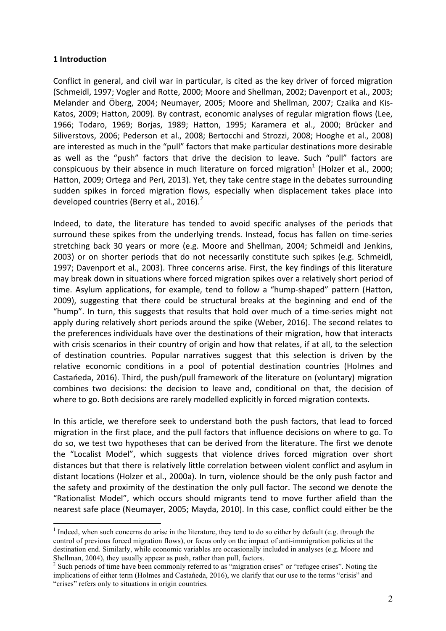#### **1 Introduction**

Conflict in general, and civil war in particular, is cited as the key driver of forced migration (Schmeidl, 1997; Vogler and Rotte, 2000; Moore and Shellman, 2002; Davenport et al., 2003; Melander and Öberg, 2004; Neumayer, 2005; Moore and Shellman, 2007; Czaika and Kis-Katos, 2009; Hatton, 2009). By contrast, economic analyses of regular migration flows (Lee, 1966; Todaro, 1969; Borjas, 1989; Hatton, 1995; Karamera et al., 2000; Brücker and Siliverstovs, 2006; Pederson et al., 2008; Bertocchi and Strozzi, 2008; Hooghe et al., 2008) are interested as much in the "pull" factors that make particular destinations more desirable as well as the "push" factors that drive the decision to leave. Such "pull" factors are conspicuous by their absence in much literature on forced migration<sup>1</sup> (Holzer et al., 2000; Hatton, 2009; Ortega and Peri, 2013). Yet, they take centre stage in the debates surrounding sudden spikes in forced migration flows, especially when displacement takes place into developed countries (Berry et al., 2016). $<sup>2</sup>$ </sup>

Indeed, to date, the literature has tended to avoid specific analyses of the periods that surround these spikes from the underlying trends. Instead, focus has fallen on time-series stretching back 30 years or more (e.g. Moore and Shellman, 2004; Schmeidl and Jenkins, 2003) or on shorter periods that do not necessarily constitute such spikes (e.g. Schmeidl, 1997; Davenport et al., 2003). Three concerns arise. First, the key findings of this literature may break down in situations where forced migration spikes over a relatively short period of time. Asylum applications, for example, tend to follow a "hump-shaped" pattern (Hatton, 2009), suggesting that there could be structural breaks at the beginning and end of the "hump". In turn, this suggests that results that hold over much of a time-series might not apply during relatively short periods around the spike (Weber, 2016). The second relates to the preferences individuals have over the destinations of their migration, how that interacts with crisis scenarios in their country of origin and how that relates, if at all, to the selection of destination countries. Popular narratives suggest that this selection is driven by the relative economic conditions in a pool of potential destination countries (Holmes and Castańeda, 2016). Third, the push/pull framework of the literature on (voluntary) migration combines two decisions: the decision to leave and, conditional on that, the decision of where to go. Both decisions are rarely modelled explicitly in forced migration contexts.

In this article, we therefore seek to understand both the push factors, that lead to forced migration in the first place, and the pull factors that influence decisions on where to go. To do so, we test two hypotheses that can be derived from the literature. The first we denote the "Localist Model", which suggests that violence drives forced migration over short distances but that there is relatively little correlation between violent conflict and asylum in distant locations (Holzer et al., 2000a). In turn, violence should be the only push factor and the safety and proximity of the destination the only pull factor. The second we denote the "Rationalist Model", which occurs should migrants tend to move further afield than the nearest safe place (Neumayer, 2005; Mayda, 2010). In this case, conflict could either be the

<sup>&</sup>lt;sup>1</sup> Indeed, when such concerns do arise in the literature, they tend to do so either by default (e.g. through the control of previous forced migration flows), or focus only on the impact of anti-immigration policies at the destination end. Similarly, while economic variables are occasionally included in analyses (e.g. Moore and Shellman, 2004), they usually appear as push, rather than pull, factors.

<sup>&</sup>lt;sup>2</sup> Such periods of time have been commonly referred to as "migration crises" or "refugee crises". Noting the implications of either term (Holmes and Castańeda, 2016), we clarify that our use to the terms "crisis" and "crises" refers only to situations in origin countries.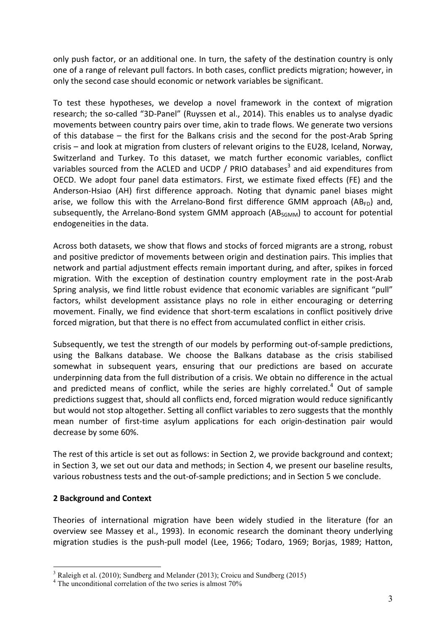only push factor, or an additional one. In turn, the safety of the destination country is only one of a range of relevant pull factors. In both cases, conflict predicts migration; however, in only the second case should economic or network variables be significant.

To test these hypotheses, we develop a novel framework in the context of migration research; the so-called "3D-Panel" (Ruyssen et al., 2014). This enables us to analyse dyadic movements between country pairs over time, akin to trade flows. We generate two versions of this database  $-$  the first for the Balkans crisis and the second for the post-Arab Spring crisis – and look at migration from clusters of relevant origins to the EU28, Iceland, Norway, Switzerland and Turkey. To this dataset, we match further economic variables, conflict variables sourced from the ACLED and UCDP / PRIO databases<sup>3</sup> and aid expenditures from OECD. We adopt four panel data estimators. First, we estimate fixed effects (FE) and the Anderson-Hsiao (AH) first difference approach. Noting that dynamic panel biases might arise, we follow this with the Arrelano-Bond first difference GMM approach (AB<sub>FD</sub>) and, subsequently, the Arrelano-Bond system GMM approach  $(AB_{SGMM})$  to account for potential endogeneities in the data.

Across both datasets, we show that flows and stocks of forced migrants are a strong, robust and positive predictor of movements between origin and destination pairs. This implies that network and partial adjustment effects remain important during, and after, spikes in forced migration. With the exception of destination country employment rate in the post-Arab Spring analysis, we find little robust evidence that economic variables are significant "pull" factors, whilst development assistance plays no role in either encouraging or deterring movement. Finally, we find evidence that short-term escalations in conflict positively drive forced migration, but that there is no effect from accumulated conflict in either crisis.

Subsequently, we test the strength of our models by performing out-of-sample predictions, using the Balkans database. We choose the Balkans database as the crisis stabilised somewhat in subsequent years, ensuring that our predictions are based on accurate underpinning data from the full distribution of a crisis. We obtain no difference in the actual and predicted means of conflict, while the series are highly correlated.<sup>4</sup> Out of sample predictions suggest that, should all conflicts end, forced migration would reduce significantly but would not stop altogether. Setting all conflict variables to zero suggests that the monthly mean number of first-time asylum applications for each origin-destination pair would decrease by some 60%.

The rest of this article is set out as follows: in Section 2, we provide background and context; in Section 3, we set out our data and methods; in Section 4, we present our baseline results, various robustness tests and the out-of-sample predictions; and in Section 5 we conclude.

### **2 Background and Context**

Theories of international migration have been widely studied in the literature (for an overview see Massey et al., 1993). In economic research the dominant theory underlying migration studies is the push-pull model (Lee, 1966; Todaro, 1969; Borjas, 1989; Hatton,

<sup>&</sup>lt;sup>3</sup> Raleigh et al. (2010); Sundberg and Melander (2013); Croicu and Sundberg (2015)

<sup>&</sup>lt;sup>4</sup> The unconditional correlation of the two series is almost 70%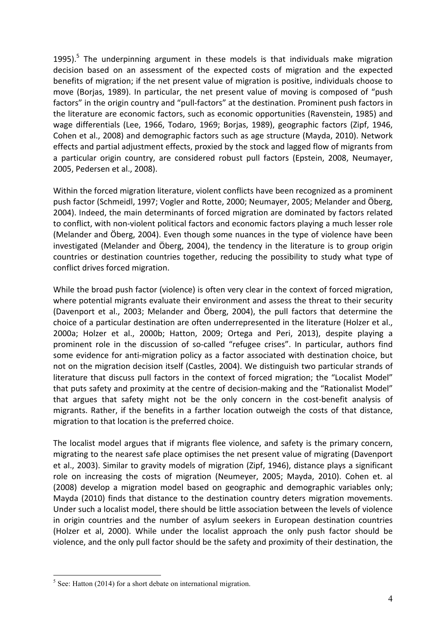1995).<sup>5</sup> The underpinning argument in these models is that individuals make migration decision based on an assessment of the expected costs of migration and the expected benefits of migration; if the net present value of migration is positive, individuals choose to move (Borjas, 1989). In particular, the net present value of moving is composed of "push factors" in the origin country and "pull-factors" at the destination. Prominent push factors in the literature are economic factors, such as economic opportunities (Ravenstein, 1985) and wage differentials (Lee, 1966, Todaro, 1969; Borjas, 1989), geographic factors (Zipf, 1946, Cohen et al., 2008) and demographic factors such as age structure (Mayda, 2010). Network effects and partial adjustment effects, proxied by the stock and lagged flow of migrants from a particular origin country, are considered robust pull factors (Epstein, 2008, Neumayer, 2005, Pedersen et al., 2008).

Within the forced migration literature, violent conflicts have been recognized as a prominent push factor (Schmeidl, 1997; Vogler and Rotte, 2000; Neumayer, 2005; Melander and Öberg, 2004). Indeed, the main determinants of forced migration are dominated by factors related to conflict, with non-violent political factors and economic factors playing a much lesser role (Melander and Öberg, 2004). Even though some nuances in the type of violence have been investigated (Melander and Öberg, 2004), the tendency in the literature is to group origin countries or destination countries together, reducing the possibility to study what type of conflict drives forced migration.

While the broad push factor (violence) is often very clear in the context of forced migration, where potential migrants evaluate their environment and assess the threat to their security (Davenport et al., 2003; Melander and Öberg, 2004), the pull factors that determine the choice of a particular destination are often underrepresented in the literature (Holzer et al., 2000a; Holzer et al., 2000b; Hatton, 2009; Ortega and Peri, 2013), despite playing a prominent role in the discussion of so-called "refugee crises". In particular, authors find some evidence for anti-migration policy as a factor associated with destination choice, but not on the migration decision itself (Castles, 2004). We distinguish two particular strands of literature that discuss pull factors in the context of forced migration; the "Localist Model" that puts safety and proximity at the centre of decision-making and the "Rationalist Model" that argues that safety might not be the only concern in the cost-benefit analysis of migrants. Rather, if the benefits in a farther location outweigh the costs of that distance, migration to that location is the preferred choice.

The localist model argues that if migrants flee violence, and safety is the primary concern, migrating to the nearest safe place optimises the net present value of migrating (Davenport et al., 2003). Similar to gravity models of migration (Zipf, 1946), distance plays a significant role on increasing the costs of migration (Neumeyer, 2005; Mayda, 2010). Cohen et. al (2008) develop a migration model based on geographic and demographic variables only; Mayda (2010) finds that distance to the destination country deters migration movements. Under such a localist model, there should be little association between the levels of violence in origin countries and the number of asylum seekers in European destination countries (Holzer et al, 2000). While under the localist approach the only push factor should be violence, and the only pull factor should be the safety and proximity of their destination, the

 $<sup>5</sup>$  See: Hatton (2014) for a short debate on international migration.</sup>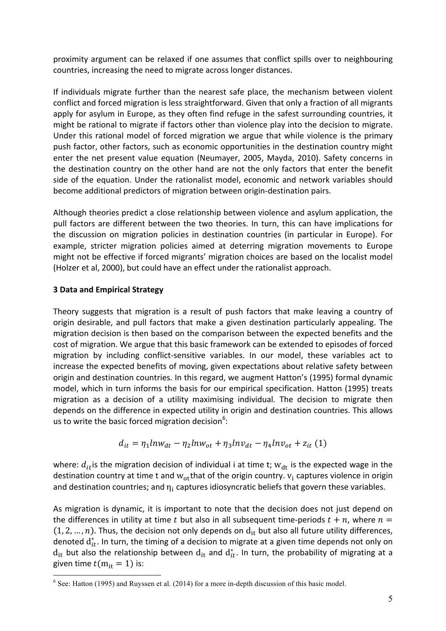proximity argument can be relaxed if one assumes that conflict spills over to neighbouring countries, increasing the need to migrate across longer distances.

If individuals migrate further than the nearest safe place, the mechanism between violent conflict and forced migration is less straightforward. Given that only a fraction of all migrants apply for asylum in Europe, as they often find refuge in the safest surrounding countries, it might be rational to migrate if factors other than violence play into the decision to migrate. Under this rational model of forced migration we argue that while violence is the primary push factor, other factors, such as economic opportunities in the destination country might enter the net present value equation (Neumayer, 2005, Mayda, 2010). Safety concerns in the destination country on the other hand are not the only factors that enter the benefit side of the equation. Under the rationalist model, economic and network variables should become additional predictors of migration between origin-destination pairs.

Although theories predict a close relationship between violence and asylum application, the pull factors are different between the two theories. In turn, this can have implications for the discussion on migration policies in destination countries (in particular in Europe). For example, stricter migration policies aimed at deterring migration movements to Europe might not be effective if forced migrants' migration choices are based on the localist model (Holzer et al, 2000), but could have an effect under the rationalist approach.

# **3 Data and Empirical Strategy**

Theory suggests that migration is a result of push factors that make leaving a country of origin desirable, and pull factors that make a given destination particularly appealing. The migration decision is then based on the comparison between the expected benefits and the cost of migration. We argue that this basic framework can be extended to episodes of forced migration by including conflict-sensitive variables. In our model, these variables act to increase the expected benefits of moving, given expectations about relative safety between origin and destination countries. In this regard, we augment Hatton's (1995) formal dynamic model, which in turn informs the basis for our empirical specification. Hatton (1995) treats migration as a decision of a utility maximising individual. The decision to migrate then depends on the difference in expected utility in origin and destination countries. This allows us to write the basic forced migration decision<sup>6</sup>:

$$
d_{it} = \eta_1 ln w_{dt} - \eta_2 ln w_{ot} + \eta_3 ln v_{dt} - \eta_4 ln v_{ot} + z_{it} (1)
$$

where:  $d_{it}$  is the migration decision of individual i at time t;  $w_{dt}$  is the expected wage in the destination country at time t and  $w_{\text{ot}}$ that of the origin country.  $v_i$  captures violence in origin and destination countries; and  $\eta_i$  captures idiosyncratic beliefs that govern these variables.

As migration is dynamic, it is important to note that the decision does not just depend on the differences in utility at time t but also in all subsequent time-periods  $t + n$ , where  $n =$  $(1, 2, ..., n)$ . Thus, the decision not only depends on  $d_{it}$  but also all future utility differences, denoted  $\mathsf{d}^*_{it}$ . In turn, the timing of a decision to migrate at a given time depends not only on  $d_{it}$  but also the relationship between  $d_{it}$  and  $d_{it}^*$ . In turn, the probability of migrating at a given time  $t(m_{it} = 1)$  is:

 $6$  See: Hatton (1995) and Ruyssen et al. (2014) for a more in-depth discussion of this basic model.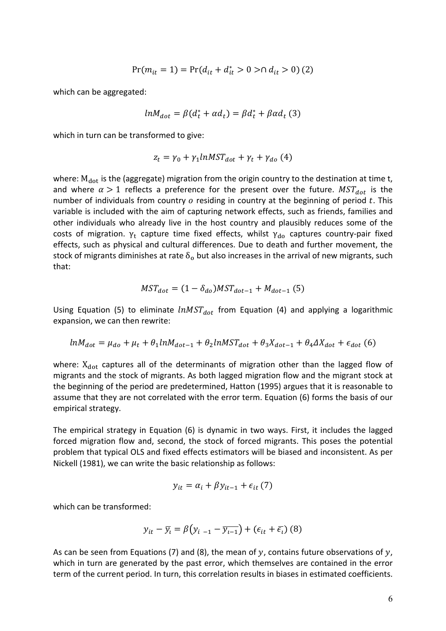$$
Pr(m_{it} = 1) = Pr(d_{it} + d_{it}^* > 0 > \cap d_{it} > 0) (2)
$$

which can be aggregated:

$$
ln M_{dot} = \beta (d_t^* + \alpha d_t) = \beta d_t^* + \beta \alpha d_t \tag{3}
$$

which in turn can be transformed to give:

$$
z_t = \gamma_0 + \gamma_1 lnMST_{dot} + \gamma_t + \gamma_{do} (4)
$$

where:  $M_{dot}$  is the (aggregate) migration from the origin country to the destination at time t, and where  $\alpha > 1$  reflects a preference for the present over the future.  $MST_{dot}$  is the number of individuals from country  $o$  residing in country at the beginning of period  $t$ . This variable is included with the aim of capturing network effects, such as friends, families and other individuals who already live in the host country and plausibly reduces some of the costs of migration.  $\gamma_t$  capture time fixed effects, whilst  $\gamma_{\rm do}$  captures country-pair fixed effects, such as physical and cultural differences. Due to death and further movement, the stock of migrants diminishes at rate  $\delta_0$  but also increases in the arrival of new migrants, such that:

$$
MST_{dot} = (1 - \delta_{do})MST_{dot-1} + M_{dot-1} (5)
$$

Using Equation (5) to eliminate  $lnMST_{dot}$  from Equation (4) and applying a logarithmic expansion, we can then rewrite:

$$
lnM_{dot} = \mu_{do} + \mu_t + \theta_1 lnM_{dot-1} + \theta_2 lnMST_{dot} + \theta_3 X_{dot-1} + \theta_4 \Delta X_{dot} + \epsilon_{dot} \tag{6}
$$

where:  $X_{dot}$  captures all of the determinants of migration other than the lagged flow of migrants and the stock of migrants. As both lagged migration flow and the migrant stock at the beginning of the period are predetermined, Hatton (1995) argues that it is reasonable to assume that they are not correlated with the error term. Equation (6) forms the basis of our empirical strategy.

The empirical strategy in Equation  $(6)$  is dynamic in two ways. First, it includes the lagged forced migration flow and, second, the stock of forced migrants. This poses the potential problem that typical OLS and fixed effects estimators will be biased and inconsistent. As per Nickell (1981), we can write the basic relationship as follows:

$$
y_{it} = \alpha_i + \beta y_{it-1} + \epsilon_{it} (7)
$$

which can be transformed:

$$
y_{it} - \overline{y_i} = \beta \left( y_{i-1} - \overline{y_{i-1}} \right) + \left( \epsilon_{it} + \overline{\epsilon_i} \right) \left( 8 \right)
$$

As can be seen from Equations (7) and (8), the mean of y, contains future observations of y, which in turn are generated by the past error, which themselves are contained in the error term of the current period. In turn, this correlation results in biases in estimated coefficients.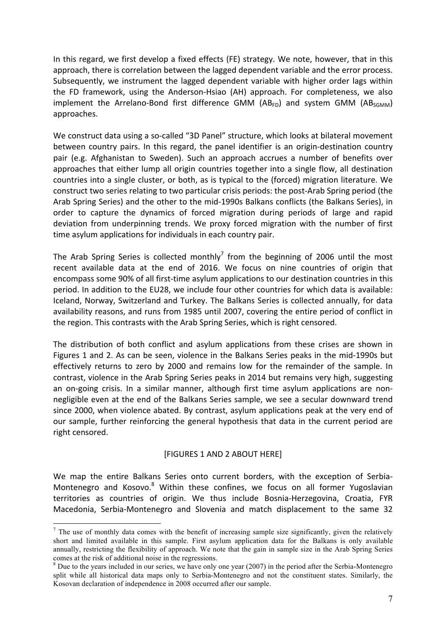In this regard, we first develop a fixed effects  $(FE)$  strategy. We note, however, that in this approach, there is correlation between the lagged dependent variable and the error process. Subsequently, we instrument the lagged dependent variable with higher order lags within the FD framework, using the Anderson-Hsiao (AH) approach. For completeness, we also  $\sim$  implement the Arrelano-Bond first difference GMM (ABFD) and system GMM (ABSGMM) approaches. 

We construct data using a so-called "3D Panel" structure, which looks at bilateral movement between country pairs. In this regard, the panel identifier is an origin-destination country pair (e.g. Afghanistan to Sweden). Such an approach accrues a number of benefits over approaches that either lump all origin countries together into a single flow, all destination countries into a single cluster, or both, as is typical to the (forced) migration literature. We construct two series relating to two particular crisis periods: the post-Arab Spring period (the Arab Spring Series) and the other to the mid-1990s Balkans conflicts (the Balkans Series), in order to capture the dynamics of forced migration during periods of large and rapid deviation from underpinning trends. We proxy forced migration with the number of first time asylum applications for individuals in each country pair.

The Arab Spring Series is collected monthly<sup>7</sup> from the beginning of 2006 until the most recent available data at the end of 2016. We focus on nine countries of origin that encompass some 90% of all first-time asylum applications to our destination countries in this period. In addition to the EU28, we include four other countries for which data is available: Iceland, Norway, Switzerland and Turkey. The Balkans Series is collected annually, for data availability reasons, and runs from 1985 until 2007, covering the entire period of conflict in the region. This contrasts with the Arab Spring Series, which is right censored.

The distribution of both conflict and asylum applications from these crises are shown in Figures 1 and 2. As can be seen, violence in the Balkans Series peaks in the mid-1990s but effectively returns to zero by 2000 and remains low for the remainder of the sample. In contrast, violence in the Arab Spring Series peaks in 2014 but remains very high, suggesting an on-going crisis. In a similar manner, although first time asylum applications are nonnegligible even at the end of the Balkans Series sample, we see a secular downward trend since 2000, when violence abated. By contrast, asylum applications peak at the very end of our sample, further reinforcing the general hypothesis that data in the current period are right censored.

#### [FIGURES 1 AND 2 ABOUT HERE]

We map the entire Balkans Series onto current borders, with the exception of Serbia-Montenegro and Kosovo.<sup>8</sup> Within these confines, we focus on all former Yugoslavian territories as countries of origin. We thus include Bosnia-Herzegovina, Croatia, FYR Macedonia, Serbia-Montenegro and Slovenia and match displacement to the same 32

 $<sup>7</sup>$  The use of monthly data comes with the benefit of increasing sample size significantly, given the relatively</sup> short and limited available in this sample. First asylum application data for the Balkans is only available annually, restricting the flexibility of approach. We note that the gain in sample size in the Arab Spring Series comes at the risk of additional noise in the regressions.

<sup>&</sup>lt;sup>8</sup> Due to the years included in our series, we have only one year (2007) in the period after the Serbia-Montenegro split while all historical data maps only to Serbia-Montenegro and not the constituent states. Similarly, the Kosovan declaration of independence in 2008 occurred after our sample.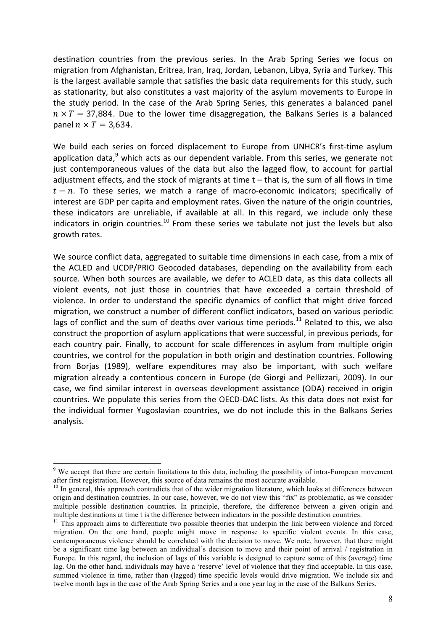destination countries from the previous series. In the Arab Spring Series we focus on migration from Afghanistan, Eritrea, Iran, Iraq, Jordan, Lebanon, Libya, Syria and Turkey. This is the largest available sample that satisfies the basic data requirements for this study, such as stationarity, but also constitutes a vast majority of the asylum movements to Europe in the study period. In the case of the Arab Spring Series, this generates a balanced panel  $n \times T = 37,884$ . Due to the lower time disaggregation, the Balkans Series is a balanced panel  $n \times T = 3.634$ .

We build each series on forced displacement to Europe from UNHCR's first-time asylum application data, $9$  which acts as our dependent variable. From this series, we generate not just contemporaneous values of the data but also the lagged flow, to account for partial adjustment effects, and the stock of migrants at time  $t -$  that is, the sum of all flows in time  $t - n$ . To these series, we match a range of macro-economic indicators; specifically of interest are GDP per capita and employment rates. Given the nature of the origin countries, these indicators are unreliable, if available at all. In this regard, we include only these indicators in origin countries.<sup>10</sup> From these series we tabulate not just the levels but also growth rates.

We source conflict data, aggregated to suitable time dimensions in each case, from a mix of the ACLED and UCDP/PRIO Geocoded databases, depending on the availability from each source. When both sources are available, we defer to ACLED data, as this data collects all violent events, not just those in countries that have exceeded a certain threshold of violence. In order to understand the specific dynamics of conflict that might drive forced migration, we construct a number of different conflict indicators, based on various periodic lags of conflict and the sum of deaths over various time periods.<sup>11</sup> Related to this, we also construct the proportion of asylum applications that were successful, in previous periods, for each country pair. Finally, to account for scale differences in asylum from multiple origin countries, we control for the population in both origin and destination countries. Following from Borjas (1989), welfare expenditures may also be important, with such welfare migration already a contentious concern in Europe (de Giorgi and Pellizzari, 2009). In our case, we find similar interest in overseas development assistance (ODA) received in origin countries. We populate this series from the OECD-DAC lists. As this data does not exist for the individual former Yugoslavian countries, we do not include this in the Balkans Series analysis. 

 <sup>9</sup> We accept that there are certain limitations to this data, including the possibility of intra-European movement after first registration. However, this source of data remains the most accurate available.

 $10$  In general, this approach contradicts that of the wider migration literature, which looks at differences between origin and destination countries. In our case, however, we do not view this "fix" as problematic, as we consider multiple possible destination countries. In principle, therefore, the difference between a given origin and multiple destinations at time t is the difference between indicators in the possible destination countries.

<sup>&</sup>lt;sup>11</sup> This approach aims to differentiate two possible theories that underpin the link between violence and forced migration. On the one hand, people might move in response to specific violent events. In this case, contemporaneous violence should be correlated with the decision to move. We note, however, that there might be a significant time lag between an individual's decision to move and their point of arrival / registration in Europe. In this regard, the inclusion of lags of this variable is designed to capture some of this (average) time lag. On the other hand, individuals may have a 'reserve' level of violence that they find acceptable. In this case, summed violence in time, rather than (lagged) time specific levels would drive migration. We include six and twelve month lags in the case of the Arab Spring Series and a one year lag in the case of the Balkans Series.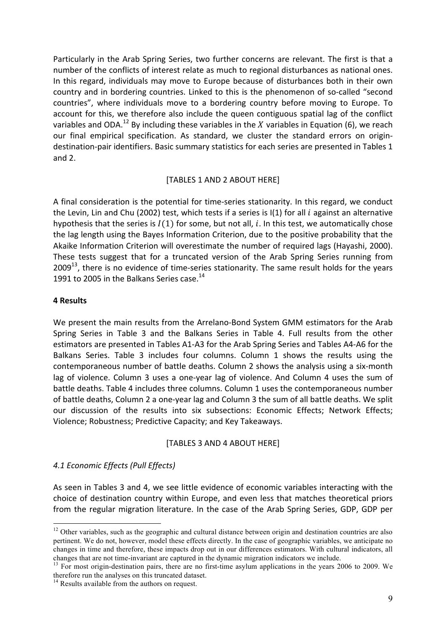Particularly in the Arab Spring Series, two further concerns are relevant. The first is that a number of the conflicts of interest relate as much to regional disturbances as national ones. In this regard, individuals may move to Europe because of disturbances both in their own country and in bordering countries. Linked to this is the phenomenon of so-called "second countries", where individuals move to a bordering country before moving to Europe. To account for this, we therefore also include the queen contiguous spatial lag of the conflict variables and ODA.<sup>12</sup> By including these variables in the X variables in Equation (6), we reach our final empirical specification. As standard, we cluster the standard errors on origindestination-pair identifiers. Basic summary statistics for each series are presented in Tables 1 and  $2$ .

### [TABLES 1 AND 2 ABOUT HERE]

A final consideration is the potential for time-series stationarity. In this regard, we conduct the Levin, Lin and Chu (2002) test, which tests if a series is I(1) for all  $i$  against an alternative hypothesis that the series is  $I(1)$  for some, but not all, i. In this test, we automatically chose the lag length using the Bayes Information Criterion, due to the positive probability that the Akaike Information Criterion will overestimate the number of required lags (Hayashi, 2000). These tests suggest that for a truncated version of the Arab Spring Series running from 2009 $^{13}$ , there is no evidence of time-series stationarity. The same result holds for the years 1991 to 2005 in the Balkans Series case.<sup>14</sup>

### **4 Results**

We present the main results from the Arrelano-Bond System GMM estimators for the Arab Spring Series in Table 3 and the Balkans Series in Table 4. Full results from the other estimators are presented in Tables A1-A3 for the Arab Spring Series and Tables A4-A6 for the Balkans Series. Table 3 includes four columns. Column 1 shows the results using the contemporaneous number of battle deaths. Column 2 shows the analysis using a six-month lag of violence. Column 3 uses a one-year lag of violence. And Column 4 uses the sum of battle deaths. Table 4 includes three columns. Column 1 uses the contemporaneous number of battle deaths, Column 2 a one-year lag and Column 3 the sum of all battle deaths. We split our discussion of the results into six subsections: Economic Effects; Network Effects; Violence; Robustness; Predictive Capacity; and Key Takeaways.

#### [TABLES 3 AND 4 ABOUT HERE]

### *4.1 Economic Effects (Pull Effects)*

As seen in Tables 3 and 4, we see little evidence of economic variables interacting with the choice of destination country within Europe, and even less that matches theoretical priors from the regular migration literature. In the case of the Arab Spring Series, GDP, GDP per

<sup>&</sup>lt;sup>12</sup> Other variables, such as the geographic and cultural distance between origin and destination countries are also pertinent. We do not, however, model these effects directly. In the case of geographic variables, we anticipate no changes in time and therefore, these impacts drop out in our differences estimators. With cultural indicators, all

changes that are not time-invariant are captured in the dynamic migration indicators we include.<br><sup>13</sup> For most origin-destination pairs, there are no first-time asylum applications in the years 2006 to 2009. We therefore run the analyses on this truncated dataset.

<sup>&</sup>lt;sup>14</sup> Results available from the authors on request.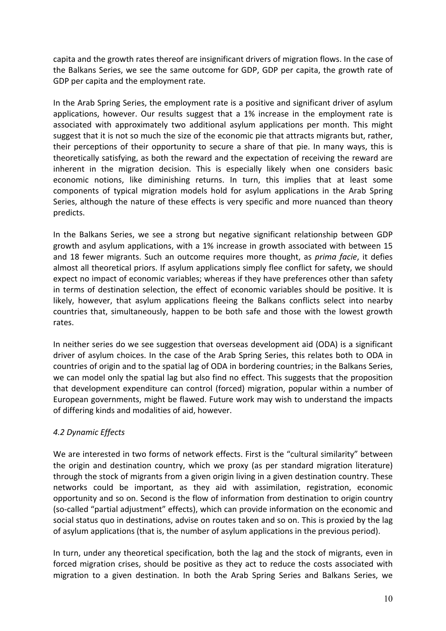capita and the growth rates thereof are insignificant drivers of migration flows. In the case of the Balkans Series, we see the same outcome for GDP, GDP per capita, the growth rate of GDP per capita and the employment rate.

In the Arab Spring Series, the employment rate is a positive and significant driver of asylum applications, however. Our results suggest that a 1% increase in the employment rate is associated with approximately two additional asylum applications per month. This might suggest that it is not so much the size of the economic pie that attracts migrants but, rather, their perceptions of their opportunity to secure a share of that pie. In many ways, this is theoretically satisfying, as both the reward and the expectation of receiving the reward are inherent in the migration decision. This is especially likely when one considers basic economic notions, like diminishing returns. In turn, this implies that at least some components of typical migration models hold for asylum applications in the Arab Spring Series, although the nature of these effects is very specific and more nuanced than theory predicts. 

In the Balkans Series, we see a strong but negative significant relationship between GDP growth and asylum applications, with a 1% increase in growth associated with between 15 and 18 fewer migrants. Such an outcome requires more thought, as *prima facie*, it defies almost all theoretical priors. If asylum applications simply flee conflict for safety, we should expect no impact of economic variables; whereas if they have preferences other than safety in terms of destination selection, the effect of economic variables should be positive. It is likely, however, that asylum applications fleeing the Balkans conflicts select into nearby countries that, simultaneously, happen to be both safe and those with the lowest growth rates.

In neither series do we see suggestion that overseas development aid (ODA) is a significant driver of asylum choices. In the case of the Arab Spring Series, this relates both to ODA in countries of origin and to the spatial lag of ODA in bordering countries; in the Balkans Series, we can model only the spatial lag but also find no effect. This suggests that the proposition that development expenditure can control (forced) migration, popular within a number of European governments, might be flawed. Future work may wish to understand the impacts of differing kinds and modalities of aid, however.

# *4.2 Dynamic Effects*

We are interested in two forms of network effects. First is the "cultural similarity" between the origin and destination country, which we proxy (as per standard migration literature) through the stock of migrants from a given origin living in a given destination country. These networks could be important, as they aid with assimilation, registration, economic opportunity and so on. Second is the flow of information from destination to origin country (so-called "partial adjustment" effects), which can provide information on the economic and social status quo in destinations, advise on routes taken and so on. This is proxied by the lag of asylum applications (that is, the number of asylum applications in the previous period).

In turn, under any theoretical specification, both the lag and the stock of migrants, even in forced migration crises, should be positive as they act to reduce the costs associated with migration to a given destination. In both the Arab Spring Series and Balkans Series, we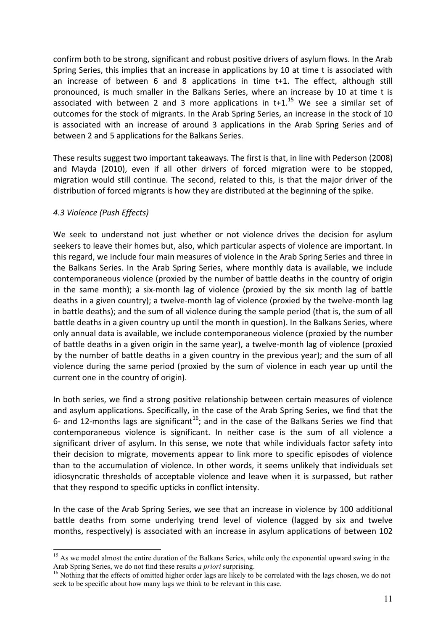confirm both to be strong, significant and robust positive drivers of asylum flows. In the Arab Spring Series, this implies that an increase in applications by 10 at time t is associated with an increase of between 6 and 8 applications in time t+1. The effect, although still pronounced, is much smaller in the Balkans Series, where an increase by 10 at time t is associated with between 2 and 3 more applications in  $t+1$ .<sup>15</sup> We see a similar set of outcomes for the stock of migrants. In the Arab Spring Series, an increase in the stock of 10 is associated with an increase of around 3 applications in the Arab Spring Series and of between 2 and 5 applications for the Balkans Series.

These results suggest two important takeaways. The first is that, in line with Pederson (2008) and Mayda (2010), even if all other drivers of forced migration were to be stopped, migration would still continue. The second, related to this, is that the major driver of the distribution of forced migrants is how they are distributed at the beginning of the spike.

### *4.3 Violence (Push Effects)*

We seek to understand not just whether or not violence drives the decision for asylum seekers to leave their homes but, also, which particular aspects of violence are important. In this regard, we include four main measures of violence in the Arab Spring Series and three in the Balkans Series. In the Arab Spring Series, where monthly data is available, we include contemporaneous violence (proxied by the number of battle deaths in the country of origin in the same month); a six-month lag of violence (proxied by the six month lag of battle deaths in a given country); a twelve-month lag of violence (proxied by the twelve-month lag in battle deaths); and the sum of all violence during the sample period (that is, the sum of all battle deaths in a given country up until the month in question). In the Balkans Series, where only annual data is available, we include contemporaneous violence (proxied by the number of battle deaths in a given origin in the same year), a twelve-month lag of violence (proxied by the number of battle deaths in a given country in the previous year); and the sum of all violence during the same period (proxied by the sum of violence in each year up until the current one in the country of origin).

In both series, we find a strong positive relationship between certain measures of violence and asylum applications. Specifically, in the case of the Arab Spring Series, we find that the 6- and 12-months lags are significant<sup>16</sup>; and in the case of the Balkans Series we find that contemporaneous violence is significant. In neither case is the sum of all violence a significant driver of asylum. In this sense, we note that while individuals factor safety into their decision to migrate, movements appear to link more to specific episodes of violence than to the accumulation of violence. In other words, it seems unlikely that individuals set idiosyncratic thresholds of acceptable violence and leave when it is surpassed, but rather that they respond to specific upticks in conflict intensity.

In the case of the Arab Spring Series, we see that an increase in violence by 100 additional battle deaths from some underlying trend level of violence (lagged by six and twelve months, respectively) is associated with an increase in asylum applications of between 102

<sup>&</sup>lt;sup>15</sup> As we model almost the entire duration of the Balkans Series, while only the exponential upward swing in the Arab Spring Series, we do not find these results *a priori* surprising.<br><sup>16</sup> Nothing that the effects of omitted higher order lags are likely to be correlated with the lags chosen, we do not

seek to be specific about how many lags we think to be relevant in this case.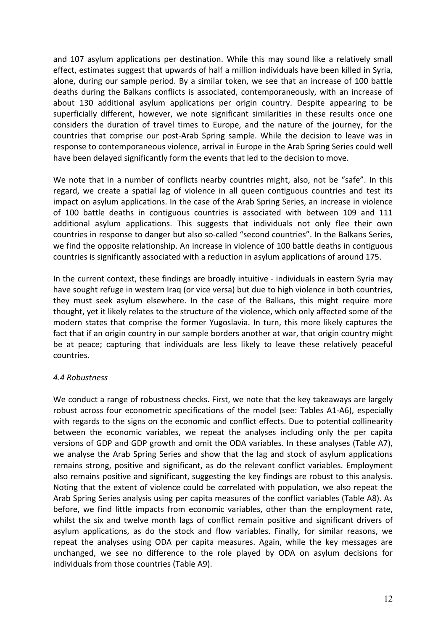and 107 asylum applications per destination. While this may sound like a relatively small effect, estimates suggest that upwards of half a million individuals have been killed in Syria, alone, during our sample period. By a similar token, we see that an increase of 100 battle deaths during the Balkans conflicts is associated, contemporaneously, with an increase of about 130 additional asylum applications per origin country. Despite appearing to be superficially different, however, we note significant similarities in these results once one considers the duration of travel times to Europe, and the nature of the journey, for the countries that comprise our post-Arab Spring sample. While the decision to leave was in response to contemporaneous violence, arrival in Europe in the Arab Spring Series could well have been delayed significantly form the events that led to the decision to move.

We note that in a number of conflicts nearby countries might, also, not be "safe". In this regard, we create a spatial lag of violence in all queen contiguous countries and test its impact on asylum applications. In the case of the Arab Spring Series, an increase in violence of 100 battle deaths in contiguous countries is associated with between 109 and 111 additional asylum applications. This suggests that individuals not only flee their own countries in response to danger but also so-called "second countries". In the Balkans Series, we find the opposite relationship. An increase in violence of 100 battle deaths in contiguous countries is significantly associated with a reduction in asylum applications of around 175.

In the current context, these findings are broadly intuitive - individuals in eastern Syria may have sought refuge in western Iraq (or vice versa) but due to high violence in both countries, they must seek asylum elsewhere. In the case of the Balkans, this might require more thought, yet it likely relates to the structure of the violence, which only affected some of the modern states that comprise the former Yugoslavia. In turn, this more likely captures the fact that if an origin country in our sample borders another at war, that origin country might be at peace; capturing that individuals are less likely to leave these relatively peaceful countries. 

#### *4.4 Robustness*

We conduct a range of robustness checks. First, we note that the key takeaways are largely robust across four econometric specifications of the model (see: Tables A1-A6), especially with regards to the signs on the economic and conflict effects. Due to potential collinearity between the economic variables, we repeat the analyses including only the per capita versions of GDP and GDP growth and omit the ODA variables. In these analyses (Table A7), we analyse the Arab Spring Series and show that the lag and stock of asylum applications remains strong, positive and significant, as do the relevant conflict variables. Employment also remains positive and significant, suggesting the key findings are robust to this analysis. Noting that the extent of violence could be correlated with population, we also repeat the Arab Spring Series analysis using per capita measures of the conflict variables (Table A8). As before, we find little impacts from economic variables, other than the employment rate, whilst the six and twelve month lags of conflict remain positive and significant drivers of asylum applications, as do the stock and flow variables. Finally, for similar reasons, we repeat the analyses using ODA per capita measures. Again, while the key messages are unchanged, we see no difference to the role played by ODA on asylum decisions for individuals from those countries (Table A9).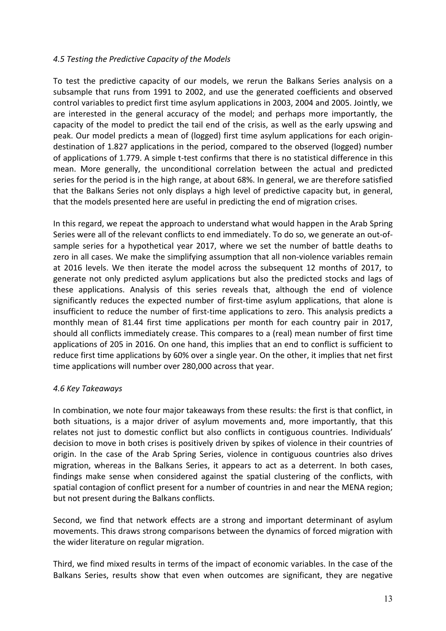#### *4.5 Testing the Predictive Capacity of the Models*

To test the predictive capacity of our models, we rerun the Balkans Series analysis on a subsample that runs from 1991 to 2002, and use the generated coefficients and observed control variables to predict first time asylum applications in 2003, 2004 and 2005. Jointly, we are interested in the general accuracy of the model; and perhaps more importantly, the capacity of the model to predict the tail end of the crisis, as well as the early upswing and peak. Our model predicts a mean of (logged) first time asylum applications for each origindestination of 1.827 applications in the period, compared to the observed (logged) number of applications of 1.779. A simple t-test confirms that there is no statistical difference in this mean. More generally, the unconditional correlation between the actual and predicted series for the period is in the high range, at about 68%. In general, we are therefore satisfied that the Balkans Series not only displays a high level of predictive capacity but, in general, that the models presented here are useful in predicting the end of migration crises.

In this regard, we repeat the approach to understand what would happen in the Arab Spring Series were all of the relevant conflicts to end immediately. To do so, we generate an out-ofsample series for a hypothetical year 2017, where we set the number of battle deaths to zero in all cases. We make the simplifying assumption that all non-violence variables remain at 2016 levels. We then iterate the model across the subsequent 12 months of 2017, to generate not only predicted asylum applications but also the predicted stocks and lags of these applications. Analysis of this series reveals that, although the end of violence significantly reduces the expected number of first-time asylum applications, that alone is insufficient to reduce the number of first-time applications to zero. This analysis predicts a monthly mean of 81.44 first time applications per month for each country pair in 2017, should all conflicts immediately crease. This compares to a (real) mean number of first time applications of 205 in 2016. On one hand, this implies that an end to conflict is sufficient to reduce first time applications by 60% over a single year. On the other, it implies that net first time applications will number over 280,000 across that year.

### *4.6 Key Takeaways*

In combination, we note four major takeaways from these results: the first is that conflict, in both situations, is a major driver of asylum movements and, more importantly, that this relates not just to domestic conflict but also conflicts in contiguous countries. Individuals' decision to move in both crises is positively driven by spikes of violence in their countries of origin. In the case of the Arab Spring Series, violence in contiguous countries also drives migration, whereas in the Balkans Series, it appears to act as a deterrent. In both cases, findings make sense when considered against the spatial clustering of the conflicts, with spatial contagion of conflict present for a number of countries in and near the MENA region; but not present during the Balkans conflicts.

Second, we find that network effects are a strong and important determinant of asylum movements. This draws strong comparisons between the dynamics of forced migration with the wider literature on regular migration.

Third, we find mixed results in terms of the impact of economic variables. In the case of the Balkans Series, results show that even when outcomes are significant, they are negative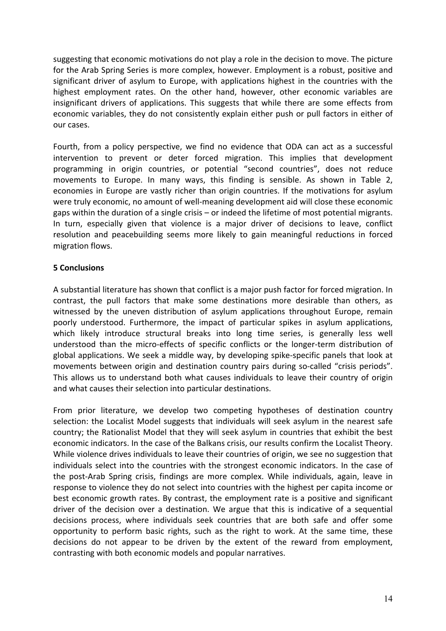suggesting that economic motivations do not play a role in the decision to move. The picture for the Arab Spring Series is more complex, however. Employment is a robust, positive and significant driver of asylum to Europe, with applications highest in the countries with the highest employment rates. On the other hand, however, other economic variables are insignificant drivers of applications. This suggests that while there are some effects from economic variables, they do not consistently explain either push or pull factors in either of our cases.

Fourth, from a policy perspective, we find no evidence that ODA can act as a successful intervention to prevent or deter forced migration. This implies that development programming in origin countries, or potential "second countries", does not reduce movements to Europe. In many ways, this finding is sensible. As shown in Table 2, economies in Europe are vastly richer than origin countries. If the motivations for asylum were truly economic, no amount of well-meaning development aid will close these economic gaps within the duration of a single crisis – or indeed the lifetime of most potential migrants. In turn, especially given that violence is a major driver of decisions to leave, conflict resolution and peacebuilding seems more likely to gain meaningful reductions in forced migration flows.

### **5 Conclusions**

A substantial literature has shown that conflict is a major push factor for forced migration. In contrast, the pull factors that make some destinations more desirable than others, as witnessed by the uneven distribution of asylum applications throughout Europe, remain poorly understood. Furthermore, the impact of particular spikes in asylum applications, which likely introduce structural breaks into long time series, is generally less well understood than the micro-effects of specific conflicts or the longer-term distribution of global applications. We seek a middle way, by developing spike-specific panels that look at movements between origin and destination country pairs during so-called "crisis periods". This allows us to understand both what causes individuals to leave their country of origin and what causes their selection into particular destinations.

From prior literature, we develop two competing hypotheses of destination country selection: the Localist Model suggests that individuals will seek asylum in the nearest safe country; the Rationalist Model that they will seek asylum in countries that exhibit the best economic indicators. In the case of the Balkans crisis, our results confirm the Localist Theory. While violence drives individuals to leave their countries of origin, we see no suggestion that individuals select into the countries with the strongest economic indicators. In the case of the post-Arab Spring crisis, findings are more complex. While individuals, again, leave in response to violence they do not select into countries with the highest per capita income or best economic growth rates. By contrast, the employment rate is a positive and significant driver of the decision over a destination. We argue that this is indicative of a sequential decisions process, where individuals seek countries that are both safe and offer some opportunity to perform basic rights, such as the right to work. At the same time, these decisions do not appear to be driven by the extent of the reward from employment, contrasting with both economic models and popular narratives.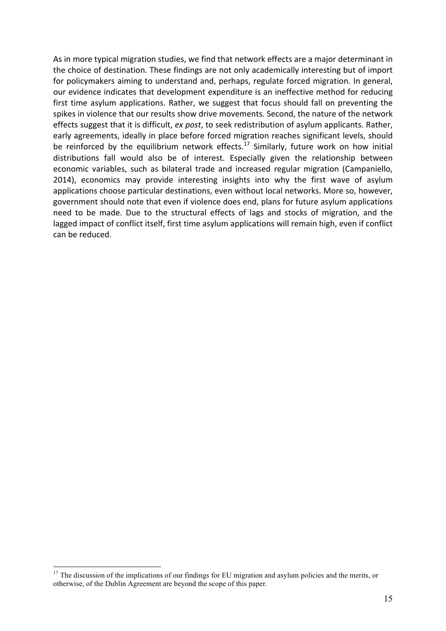As in more typical migration studies, we find that network effects are a major determinant in the choice of destination. These findings are not only academically interesting but of import for policymakers aiming to understand and, perhaps, regulate forced migration. In general, our evidence indicates that development expenditure is an ineffective method for reducing first time asylum applications. Rather, we suggest that focus should fall on preventing the spikes in violence that our results show drive movements. Second, the nature of the network effects suggest that it is difficult, *ex post*, to seek redistribution of asylum applicants. Rather, early agreements, ideally in place before forced migration reaches significant levels, should be reinforced by the equilibrium network effects.<sup>17</sup> Similarly, future work on how initial distributions fall would also be of interest. Especially given the relationship between economic variables, such as bilateral trade and increased regular migration (Campaniello, 2014), economics may provide interesting insights into why the first wave of asylum applications choose particular destinations, even without local networks. More so, however, government should note that even if violence does end, plans for future asylum applications need to be made. Due to the structural effects of lags and stocks of migration, and the lagged impact of conflict itself, first time asylum applications will remain high, even if conflict can be reduced.

<sup>&</sup>lt;sup>17</sup> The discussion of the implications of our findings for EU migration and asylum policies and the merits, or otherwise, of the Dublin Agreement are beyond the scope of this paper.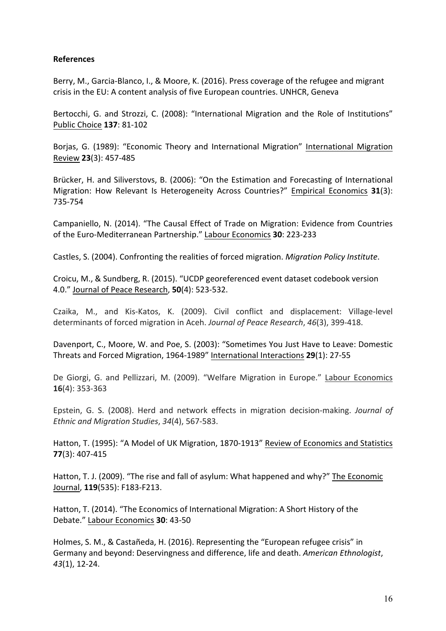#### **References**

Berry, M., Garcia-Blanco, I., & Moore, K. (2016). Press coverage of the refugee and migrant crisis in the EU: A content analysis of five European countries. UNHCR, Geneva

Bertocchi, G. and Strozzi, C. (2008): "International Migration and the Role of Institutions" Public Choice **137**: 81-102

Borjas, G. (1989): "Economic Theory and International Migration" International Migration Review **23**(3): 457-485

Brücker, H. and Siliverstovs, B. (2006): "On the Estimation and Forecasting of International Migration: How Relevant Is Heterogeneity Across Countries?" Empirical Economics 31(3): 735-754

Campaniello, N. (2014). "The Causal Effect of Trade on Migration: Evidence from Countries of the Euro-Mediterranean Partnership." Labour Economics 30: 223-233

Castles, S. (2004). Confronting the realities of forced migration. *Migration Policy Institute*.

Croicu, M., & Sundberg, R. (2015). "UCDP georeferenced event dataset codebook version 4.0." Journal of Peace Research, **50**(4): 523-532.

Czaika, M., and Kis-Katos, K. (2009). Civil conflict and displacement: Village-level determinants of forced migration in Aceh. Journal of Peace Research, 46(3), 399-418.

Davenport, C., Moore, W. and Poe, S. (2003): "Sometimes You Just Have to Leave: Domestic Threats and Forced Migration, 1964-1989" International Interactions **29**(1): 27-55

De Giorgi, G. and Pellizzari, M. (2009). "Welfare Migration in Europe." Labour Economics **16**(4): 353-363

Epstein, G. S. (2008). Herd and network effects in migration decision-making. *Journal of Ethnic and Migration Studies*, *34*(4), 567-583.

Hatton, T. (1995): "A Model of UK Migration, 1870-1913" Review of Economics and Statistics **77**(3): 407-415

Hatton, T. J. (2009). "The rise and fall of asylum: What happened and why?" The Economic Journal, **119**(535): F183-F213.

Hatton, T. (2014). "The Economics of International Migration: A Short History of the Debate." Labour Economics 30: 43-50

Holmes, S. M., & Castañeda, H. (2016). Representing the "European refugee crisis" in Germany and beyond: Deservingness and difference, life and death. American Ethnologist, *43*(1), 12-24.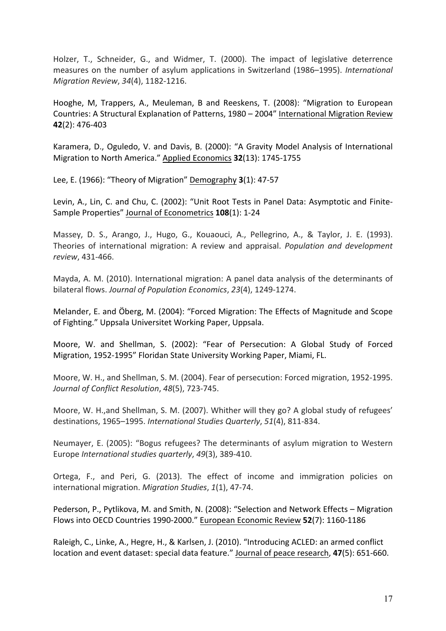Holzer, T., Schneider, G., and Widmer, T. (2000). The impact of legislative deterrence measures on the number of asylum applications in Switzerland (1986–1995). International *Migration Review*, *34*(4), 1182-1216.

Hooghe, M. Trappers, A., Meuleman, B and Reeskens, T. (2008): "Migration to European Countries: A Structural Explanation of Patterns, 1980 – 2004" International Migration Review **42**(2): 476-403

Karamera, D., Oguledo, V. and Davis, B. (2000): "A Gravity Model Analysis of International Migration to North America." Applied Economics 32(13): 1745-1755

Lee, E. (1966): "Theory of Migration" Demography 3(1): 47-57

Levin, A., Lin, C. and Chu, C. (2002): "Unit Root Tests in Panel Data: Asymptotic and Finite-Sample Properties" Journal of Econometrics **108**(1): 1-24

Massey, D. S., Arango, J., Hugo, G., Kouaouci, A., Pellegrino, A., & Taylor, J. E. (1993). Theories of international migration: A review and appraisal. *Population and development review*, 431-466.

Mayda, A. M. (2010). International migration: A panel data analysis of the determinants of bilateral flows. Journal of Population Economics, 23(4), 1249-1274.

Melander, E. and Öberg, M. (2004): "Forced Migration: The Effects of Magnitude and Scope of Fighting." Uppsala Universitet Working Paper, Uppsala.

Moore, W. and Shellman, S. (2002): "Fear of Persecution: A Global Study of Forced Migration, 1952-1995" Floridan State University Working Paper, Miami, FL.

Moore, W. H., and Shellman, S. M. (2004). Fear of persecution: Forced migration, 1952-1995. *Journal of Conflict Resolution*, *48*(5), 723-745.

Moore, W. H.,and Shellman, S. M. (2007). Whither will they go? A global study of refugees' destinations, 1965–1995. International Studies Quarterly, 51(4), 811-834.

Neumayer, E. (2005): "Bogus refugees? The determinants of asylum migration to Western Europe *International studies quarterly*, 49(3), 389-410.

Ortega, F., and Peri, G. (2013). The effect of income and immigration policies on international migration. *Migration Studies*, 1(1), 47-74.

Pederson, P., Pytlikova, M. and Smith, N. (2008): "Selection and Network Effects – Migration Flows into OECD Countries 1990-2000." European Economic Review 52(7): 1160-1186

Raleigh, C., Linke, A., Hegre, H., & Karlsen, J. (2010). "Introducing ACLED: an armed conflict location and event dataset: special data feature." Journal of peace research, 47(5): 651-660.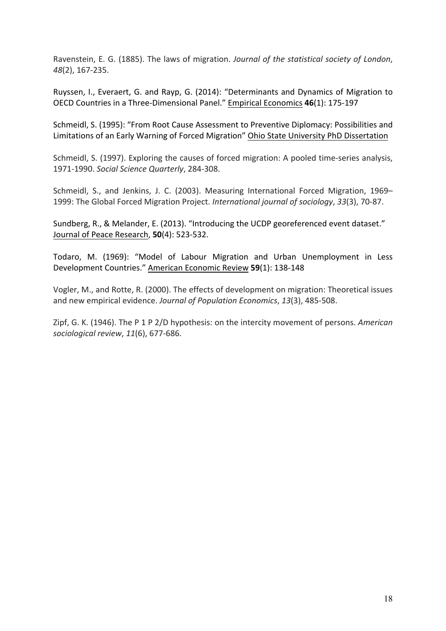Ravenstein, E. G. (1885). The laws of migration. *Journal of the statistical society of London*, *48*(2), 167-235.

Ruyssen, I., Everaert, G. and Rayp, G. (2014): "Determinants and Dynamics of Migration to OECD Countries in a Three-Dimensional Panel." Empirical Economics **46**(1): 175-197

Schmeidl, S. (1995): "From Root Cause Assessment to Preventive Diplomacy: Possibilities and Limitations of an Early Warning of Forced Migration" Ohio State University PhD Dissertation

Schmeidl, S. (1997). Exploring the causes of forced migration: A pooled time-series analysis, 1971-1990. *Social Science Quarterly*, 284-308.

Schmeidl, S., and Jenkins, J. C. (2003). Measuring International Forced Migration, 1969– 1999: The Global Forced Migration Project. *International journal of sociology*, 33(3), 70-87.

Sundberg, R., & Melander, E. (2013). "Introducing the UCDP georeferenced event dataset." Journal of Peace Research, **50**(4): 523-532.

Todaro, M. (1969): "Model of Labour Migration and Urban Unemployment in Less Development Countries." American Economic Review 59(1): 138-148

Vogler, M., and Rotte, R. (2000). The effects of development on migration: Theoretical issues and new empirical evidence. *Journal of Population Economics*, 13(3), 485-508.

Zipf, G. K. (1946). The P 1 P 2/D hypothesis: on the intercity movement of persons. *American sociological review*, *11*(6), 677-686.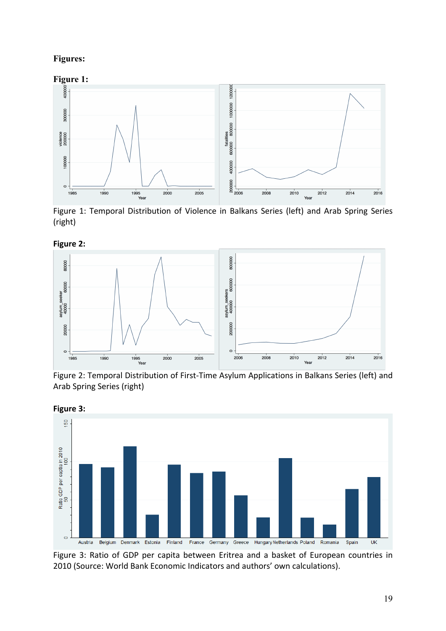# **Figures:**



Figure 1: Temporal Distribution of Violence in Balkans Series (left) and Arab Spring Series (right)

**Figure 2:** 



Figure 2: Temporal Distribution of First-Time Asylum Applications in Balkans Series (left) and Arab Spring Series (right)



Figure 3: Ratio of GDP per capita between Eritrea and a basket of European countries in 2010 (Source: World Bank Economic Indicators and authors' own calculations).

**Figure 3:**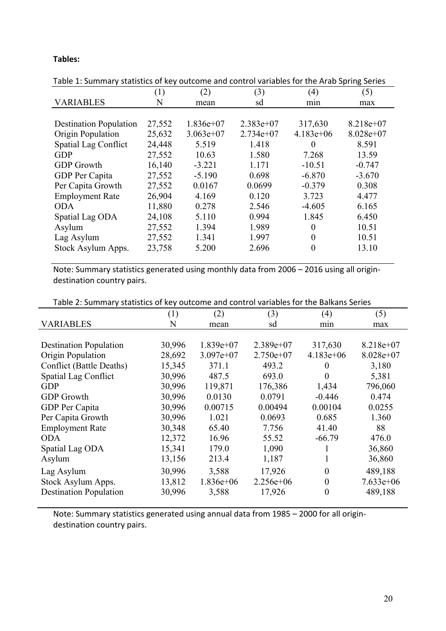## **Tables:**

| Table 1: Summary statistics of key outcome and control variables for the Arab Spring Series |        |             |             |             |             |  |
|---------------------------------------------------------------------------------------------|--------|-------------|-------------|-------------|-------------|--|
|                                                                                             | (1)    | (2)         | (3)         | (4)         | (5)         |  |
| <b>VARIABLES</b>                                                                            | N      | mean        | sd          | min         | max         |  |
|                                                                                             |        |             |             |             |             |  |
| <b>Destination Population</b>                                                               | 27,552 | $1.836e+07$ | $2.383e+07$ | 317,630     | $8.218e+07$ |  |
| Origin Population                                                                           | 25,632 | $3.063e+07$ | $2.734e+07$ | $4.183e+06$ | $8.028e+07$ |  |
| <b>Spatial Lag Conflict</b>                                                                 | 24,448 | 5.519       | 1.418       | $\Omega$    | 8.591       |  |
| <b>GDP</b>                                                                                  | 27,552 | 10.63       | 1.580       | 7.268       | 13.59       |  |
| <b>GDP</b> Growth                                                                           | 16,140 | $-3.221$    | 1.171       | $-10.51$    | $-0.747$    |  |
| GDP Per Capita                                                                              | 27,552 | $-5.190$    | 0.698       | $-6.870$    | $-3.670$    |  |
| Per Capita Growth                                                                           | 27,552 | 0.0167      | 0.0699      | $-0.379$    | 0.308       |  |
| <b>Employment Rate</b>                                                                      | 26,904 | 4.169       | 0.120       | 3.723       | 4.477       |  |
| <b>ODA</b>                                                                                  | 11,880 | 0.278       | 2.546       | $-4.605$    | 6.165       |  |
| Spatial Lag ODA                                                                             | 24,108 | 5.110       | 0.994       | 1.845       | 6.450       |  |
| Asylum                                                                                      | 27,552 | 1.394       | 1.989       | $\theta$    | 10.51       |  |
| Lag Asylum                                                                                  | 27,552 | 1.341       | 1.997       | $\Omega$    | 10.51       |  |
| Stock Asylum Apps.                                                                          | 23,758 | 5.200       | 2.696       | $\theta$    | 13.10       |  |
|                                                                                             |        |             |             |             |             |  |

Table 1: Summary statistics of key outcome and control variables for the Arab Spring Series

Note: Summary statistics generated using monthly data from 2006 - 2016 using all origindestination country pairs.

| (1)    | (2)         | (3)         | (4)            | (5)         |
|--------|-------------|-------------|----------------|-------------|
| N      | mean        | sd          | min            | max         |
|        |             |             |                |             |
| 30,996 | $1.839e+07$ | $2.389e+07$ | 317,630        | $8.218e+07$ |
| 28,692 | $3.097e+07$ | $2.750e+07$ | $4.183e+06$    | $8.028e+07$ |
| 15,345 | 371.1       | 493.2       | $\theta$       | 3,180       |
| 30,996 | 487.5       | 693.0       | $\theta$       | 5,381       |
| 30,996 | 119,871     | 176,386     | 1,434          | 796,060     |
| 30,996 | 0.0130      | 0.0791      | $-0.446$       | 0.474       |
| 30,996 | 0.00715     | 0.00494     | 0.00104        | 0.0255      |
| 30,996 | 1.021       | 0.0693      | 0.685          | 1.360       |
| 30,348 | 65.40       | 7.756       | 41.40          | 88          |
| 12,372 | 16.96       | 55.52       | $-66.79$       | 476.0       |
| 15,341 | 179.0       | 1,090       |                | 36,860      |
| 13,156 | 213.4       | 1,187       |                | 36,860      |
| 30,996 | 3,588       | 17,926      | $\theta$       | 489,188     |
| 13,812 | $1.836e+06$ | $2.256e+06$ | $\theta$       | $7.633e+06$ |
| 30,996 | 3,588       | 17,926      | $\overline{0}$ | 489,188     |
|        |             |             |                |             |

Note: Summary statistics generated using annual data from 1985 - 2000 for all origindestination country pairs.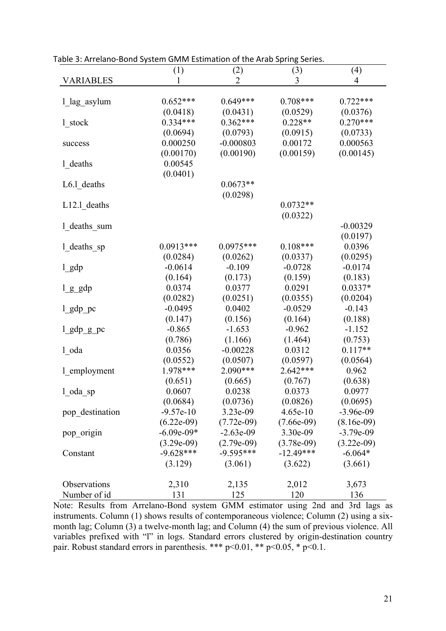|                  | (1)                          | (2)          | (3)          | (4)          |
|------------------|------------------------------|--------------|--------------|--------------|
| <b>VARIABLES</b> |                              | 2            | 3            | 4            |
|                  |                              |              |              |              |
| 1 lag asylum     | $0.652***$                   | $0.649***$   | $0.708***$   | $0.722***$   |
|                  | (0.0418)                     | (0.0431)     | (0.0529)     | (0.0376)     |
| 1_stock          | $0.334***$                   | $0.362***$   | $0.228**$    | $0.270***$   |
|                  | (0.0694)                     | (0.0793)     | (0.0915)     | (0.0733)     |
| success          | 0.000250                     | $-0.000803$  | 0.00172      | 0.000563     |
|                  | (0.00170)                    | (0.00190)    | (0.00159)    | (0.00145)    |
| 1 deaths         | 0.00545                      |              |              |              |
|                  | (0.0401)                     |              |              |              |
| $L6.1$ deaths    |                              | $0.0673**$   |              |              |
|                  |                              | (0.0298)     |              |              |
| $L12.1$ deaths   |                              |              | $0.0732**$   |              |
|                  |                              |              | (0.0322)     |              |
| 1_deaths_sum     |                              |              |              | $-0.00329$   |
|                  |                              |              |              | (0.0197)     |
| 1_deaths_sp      | $0.0913***$                  | $0.0975***$  | $0.108***$   | 0.0396       |
|                  | (0.0284)                     | (0.0262)     | (0.0337)     | (0.0295)     |
| $l$ gdp          | $-0.0614$                    | $-0.109$     | $-0.0728$    | $-0.0174$    |
|                  | (0.164)                      | (0.173)      | (0.159)      | (0.183)      |
| $l$ $g$ $g$ dp   | 0.0374                       | 0.0377       | 0.0291       | $0.0337*$    |
|                  | (0.0282)                     | (0.0251)     | (0.0355)     | (0.0204)     |
| $l$ _gdp_pc      | $-0.0495$                    | 0.0402       | $-0.0529$    | $-0.143$     |
|                  | (0.147)                      | (0.156)      | (0.164)      | (0.188)      |
| $l$ gdp $g$ pc   | $-0.865$                     | $-1.653$     | $-0.962$     | $-1.152$     |
|                  | (0.786)                      | (1.166)      | (1.464)      | (0.753)      |
| l oda            | 0.0356                       | $-0.00228$   | 0.0312       | $0.117**$    |
|                  | (0.0552)                     | (0.0507)     | (0.0597)     | (0.0564)     |
| 1_employment     | 1.978***                     | 2.090***     | 2.642***     | 0.962        |
|                  | (0.651)                      | (0.665)      | (0.767)      | (0.638)      |
|                  | 0.0607                       | 0.0238       | 0.0373       | 0.0977       |
| $1$ oda sp       | (0.0684)                     | (0.0736)     | (0.0826)     | (0.0695)     |
| pop destination  | $-9.57e-10$                  | 3.23e-09     | 4.65e-10     | $-3.96e-09$  |
|                  |                              |              |              |              |
|                  | $(6.22e-09)$<br>$-6.09e-09*$ | $(7.72e-09)$ | $(7.66e-09)$ | $(8.16e-09)$ |
| pop_origin       |                              | $-2.63e-09$  | 3.30e-09     | $-3.79e-09$  |
|                  | $(3.29e-09)$                 | $(2.79e-09)$ | $(3.78e-09)$ | $(3.22e-09)$ |
| Constant         | $-9.628***$                  | $-9.595***$  | $-12.49***$  | $-6.064*$    |
|                  | (3.129)                      | (3.061)      | (3.622)      | (3.661)      |
|                  |                              |              |              |              |
| Observations     | 2,310                        | 2,135        | 2,012        | 3,673        |
| Number of id     | 131                          | 125          | 120          | 136          |

Table 3: Arrelano-Bond System GMM Estimation of the Arab Spring Series.

Note: Results from Arrelano-Bond system GMM estimator using 2nd and 3rd lags as instruments. Column (1) shows results of contemporaneous violence; Column (2) using a sixmonth lag; Column (3) a twelve-month lag; and Column (4) the sum of previous violence. All variables prefixed with "l" in logs. Standard errors clustered by origin-destination country pair. Robust standard errors in parenthesis. \*\*\*  $p<0.01$ , \*\*  $p<0.05$ , \*  $p<0.1$ .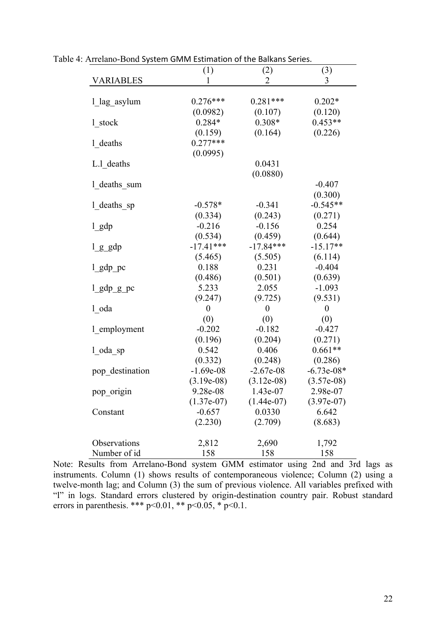|                  | (1)              | (2)              | (3)              |
|------------------|------------------|------------------|------------------|
| <b>VARIABLES</b> | 1                | 2                | 3                |
|                  |                  |                  |                  |
| 1 lag asylum     | $0.276***$       | $0.281***$       | $0.202*$         |
|                  | (0.0982)         | (0.107)          | (0.120)          |
| 1 stock          | $0.284*$         | $0.308*$         | $0.453**$        |
|                  | (0.159)          | (0.164)          | (0.226)          |
| 1 deaths         | $0.277***$       |                  |                  |
|                  | (0.0995)         |                  |                  |
| L.1 deaths       |                  | 0.0431           |                  |
|                  |                  | (0.0880)         |                  |
| 1 deaths sum     |                  |                  | $-0.407$         |
|                  |                  |                  | (0.300)          |
| 1_deaths_sp      | $-0.578*$        | $-0.341$         | $-0.545**$       |
|                  | (0.334)          | (0.243)          | (0.271)          |
| $1$ gdp          | $-0.216$         | $-0.156$         | 0.254            |
|                  | (0.534)          | (0.459)          | (0.644)          |
| $l$ $g$ $g$ dp   | $-17.41***$      | $-17.84***$      | $-15.17**$       |
|                  | (5.465)          | (5.505)          | (6.114)          |
| l_gdp_pc         | 0.188            | 0.231            | $-0.404$         |
|                  | (0.486)          | (0.501)          | (0.639)          |
| $1$ gdp $g$ pc   | 5.233            | 2.055            | $-1.093$         |
|                  | (9.247)          | (9.725)          | (9.531)          |
| 1 oda            | $\boldsymbol{0}$ | $\boldsymbol{0}$ | $\boldsymbol{0}$ |
|                  | (0)              | (0)              | (0)              |
| 1 employment     | $-0.202$         | $-0.182$         | $-0.427$         |
|                  | (0.196)          | (0.204)          | (0.271)          |
| $1$ oda sp       | 0.542            | 0.406            | $0.661**$        |
|                  | (0.332)          | (0.248)          | (0.286)          |
| pop destination  | $-1.69e-08$      | $-2.67e-08$      | $-6.73e-08*$     |
|                  | $(3.19e-08)$     | $(3.12e-08)$     | $(3.57e-08)$     |
| pop_origin       | 9.28e-08         | 1.43e-07         | 2.98e-07         |
|                  | $(1.37e-07)$     | $(1.44e-07)$     | $(3.97e-07)$     |
| Constant         | $-0.657$         | 0.0330           | 6.642            |
|                  | (2.230)          | (2.709)          | (8.683)          |
| Observations     | 2,812            | 2,690            | 1,792            |
| Number of id     | 158              | 158              | 158              |

Table 4: Arrelano-Bond System GMM Estimation of the Balkans Series.

Note: Results from Arrelano-Bond system GMM estimator using 2nd and 3rd lags as instruments. Column (1) shows results of contemporaneous violence; Column (2) using a twelve-month lag; and Column (3) the sum of previous violence. All variables prefixed with "l" in logs. Standard errors clustered by origin-destination country pair. Robust standard errors in parenthesis. \*\*\*  $p<0.01$ , \*\*  $p<0.05$ , \*  $p<0.1$ .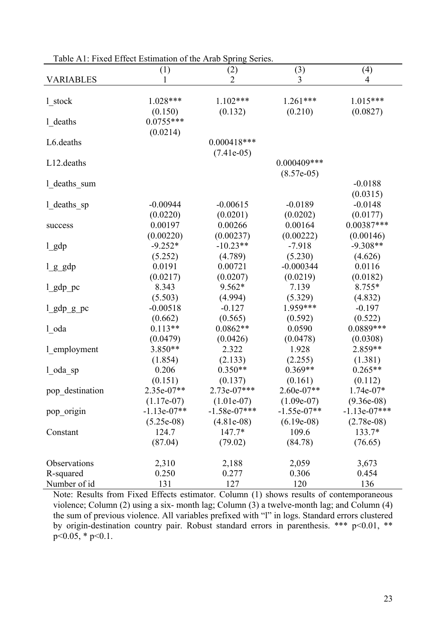| ruore Tri . I mea Effect Estimation of the Trial Spring |               | 0.01100        |                     |                |
|---------------------------------------------------------|---------------|----------------|---------------------|----------------|
|                                                         | (1)           | (2)            | (3)                 | (4)            |
| <b>VARIABLES</b>                                        |               | 2              | 3                   | 4              |
|                                                         |               |                |                     |                |
| 1 stock                                                 | 1.028***      | $1.102***$     | $1.261***$          | 1.015***       |
|                                                         | (0.150)       | (0.132)        | (0.210)             | (0.0827)       |
| 1_deaths                                                | $0.0755***$   |                |                     |                |
|                                                         | (0.0214)      |                |                     |                |
| L6.deaths                                               |               | $0.000418***$  |                     |                |
|                                                         |               | $(7.41e-05)$   |                     |                |
| L12.deaths                                              |               |                | $0.000409***$       |                |
|                                                         |               |                | $(8.57e-05)$        |                |
| 1_deaths_sum                                            |               |                |                     | $-0.0188$      |
|                                                         |               |                |                     | (0.0315)       |
| 1_deaths_sp                                             | $-0.00944$    | $-0.00615$     | $-0.0189$           | $-0.0148$      |
|                                                         | (0.0220)      | (0.0201)       | (0.0202)            | (0.0177)       |
| success                                                 | 0.00197       | 0.00266        | 0.00164             | $0.00387***$   |
|                                                         | (0.00220)     | (0.00237)      | (0.00222)           | (0.00146)      |
| $l$ gdp                                                 | $-9.252*$     | $-10.23**$     | $-7.918$            | $-9.308**$     |
|                                                         | (5.252)       | (4.789)        | (5.230)             | (4.626)        |
| $l$ $g$ $g$ dp                                          | 0.0191        | 0.00721        | $-0.000344$         | 0.0116         |
|                                                         | (0.0217)      | (0.0207)       | (0.0219)            | (0.0182)       |
|                                                         | 8.343         | 9.562*         | 7.139               | 8.755*         |
| $l$ _gdp_pc                                             |               |                |                     |                |
|                                                         | (5.503)       | (4.994)        | (5.329)<br>1.959*** | (4.832)        |
| $lgdp_gpc$                                              | $-0.00518$    | $-0.127$       |                     | $-0.197$       |
|                                                         | (0.662)       | (0.565)        | (0.592)             | (0.522)        |
| $1$ _oda                                                | $0.113**$     | $0.0862**$     | 0.0590              | 0.0889***      |
|                                                         | (0.0479)      | (0.0426)       | (0.0478)            | (0.0308)       |
| 1_employment                                            | 3.850**       | 2.322          | 1.928               | 2.859**        |
|                                                         | (1.854)       | (2.133)        | (2.255)             | (1.381)        |
| l oda sp                                                | 0.206         | $0.350**$      | $0.369**$           | $0.265**$      |
|                                                         | (0.151)       | (0.137)        | (0.161)             | (0.112)        |
| pop destination                                         | 2.35e-07**    | 2.73e-07***    | $2.60e-07**$        | $1.74e-07*$    |
|                                                         | $(1.17e-07)$  | $(1.01e-07)$   | $(1.09e-07)$        | $(9.36e-08)$   |
| pop_origin                                              | $-1.13e-07**$ | $-1.58e-07***$ | $-1.55e-07**$       | $-1.13e-07***$ |
|                                                         | $(5.25e-08)$  | $(4.81e-08)$   | $(6.19e-08)$        | $(2.78e-08)$   |
| Constant                                                | 124.7         | $147.7*$       | 109.6               | 133.7*         |
|                                                         | (87.04)       | (79.02)        | (84.78)             | (76.65)        |
| Observations                                            |               |                |                     |                |
|                                                         | 2,310         | 2,188          | 2,059               | 3,673          |
| R-squared                                               | 0.250         | 0.277          | 0.306               | 0.454          |
| Number of id                                            | 131           | 127            | 120                 | 136            |

Table A1: Fixed Effect Estimation of the Arab Spring Series.

Note: Results from Fixed Effects estimator. Column (1) shows results of contemporaneous violence; Column (2) using a six- month lag; Column (3) a twelve-month lag; and Column (4) the sum of previous violence. All variables prefixed with "l" in logs. Standard errors clustered by origin-destination country pair. Robust standard errors in parenthesis. \*\*\* p<0.01, \*\*  $p \le 0.05$ , \*  $p \le 0.1$ .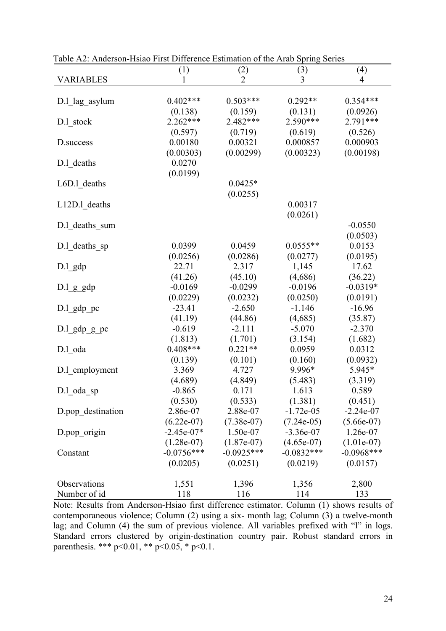|                   | (1)          | (2)          | (3)          | (4)          |
|-------------------|--------------|--------------|--------------|--------------|
| <b>VARIABLES</b>  | 1            | 2            | 3            | 4            |
|                   |              |              |              |              |
| D.1 lag asylum    | $0.402***$   | $0.503***$   | $0.292**$    | $0.354***$   |
|                   | (0.138)      | (0.159)      | (0.131)      | (0.0926)     |
| D.1 stock         | $2.262***$   | 2.482***     | $2.590***$   | 2.791***     |
|                   | (0.597)      | (0.719)      | (0.619)      | (0.526)      |
| D.success         | 0.00180      | 0.00321      | 0.000857     | 0.000903     |
|                   | (0.00303)    | (0.00299)    | (0.00323)    | (0.00198)    |
| D.l deaths        | 0.0270       |              |              |              |
|                   | (0.0199)     |              |              |              |
| L6D.1 deaths      |              | $0.0425*$    |              |              |
|                   |              | (0.0255)     |              |              |
| L12D.1 deaths     |              |              | 0.00317      |              |
|                   |              |              |              |              |
|                   |              |              | (0.0261)     |              |
| D.1 deaths sum    |              |              |              | $-0.0550$    |
|                   |              |              |              | (0.0503)     |
| D.1 deaths sp     | 0.0399       | 0.0459       | $0.0555**$   | 0.0153       |
|                   | (0.0256)     | (0.0286)     | (0.0277)     | (0.0195)     |
| $D.l$ gdp         | 22.71        | 2.317        | 1,145        | 17.62        |
|                   | (41.26)      | (45.10)      | (4,686)      | (36.22)      |
| $D.l_g$ gdp       | $-0.0169$    | $-0.0299$    | $-0.0196$    | $-0.0319*$   |
|                   | (0.0229)     | (0.0232)     | (0.0250)     | (0.0191)     |
| $D.l_gdp_p$       | $-23.41$     | $-2.650$     | $-1,146$     | $-16.96$     |
|                   | (41.19)      | (44.86)      | (4,685)      | (35.87)      |
| $D.l_gdp_gpc$     | $-0.619$     | $-2.111$     | $-5.070$     | $-2.370$     |
|                   | (1.813)      | (1.701)      | (3.154)      | (1.682)      |
| D.l oda           | $0.408***$   | $0.221**$    | 0.0959       | 0.0312       |
|                   | (0.139)      | (0.101)      | (0.160)      | (0.0932)     |
| D.1 employment    | 3.369        | 4.727        | 9.996*       | 5.945*       |
|                   | (4.689)      | (4.849)      | (5.483)      | (3.319)      |
| D.l oda sp        | $-0.865$     | 0.171        | 1.613        | 0.589        |
|                   | (0.530)      | (0.533)      | (1.381)      | (0.451)      |
| D.pop_destination | 2.86e-07     | 2.88e-07     | $-1.72e-05$  | $-2.24e-07$  |
|                   | $(6.22e-07)$ | $(7.38e-07)$ | $(7.24e-05)$ | $(5.66e-07)$ |
| D.pop origin      | $-2.45e-07*$ | 1.50e-07     | $-3.36e-07$  | 1.26e-07     |
|                   | $(1.28e-07)$ | $(1.87e-07)$ | $(4.65e-07)$ | $(1.01e-07)$ |
| Constant          | $-0.0756***$ | $-0.0925***$ | $-0.0832***$ | $-0.0968***$ |
|                   | (0.0205)     | (0.0251)     | (0.0219)     | (0.0157)     |
|                   |              |              |              |              |
| Observations      |              |              |              |              |
|                   | 1,551        | 1,396        | 1,356        | 2,800        |
| Number of id      | 118          | 116          | 114          | 133          |

Table A2: Anderson-Hsiao First Difference Estimation of the Arab Spring Series

Note: Results from Anderson-Hsiao first difference estimator. Column (1) shows results of contemporaneous violence; Column (2) using a six- month lag; Column (3) a twelve-month lag; and Column (4) the sum of previous violence. All variables prefixed with "l" in logs. Standard errors clustered by origin-destination country pair. Robust standard errors in parenthesis. \*\*\* p<0.01, \*\* p<0.05, \* p<0.1.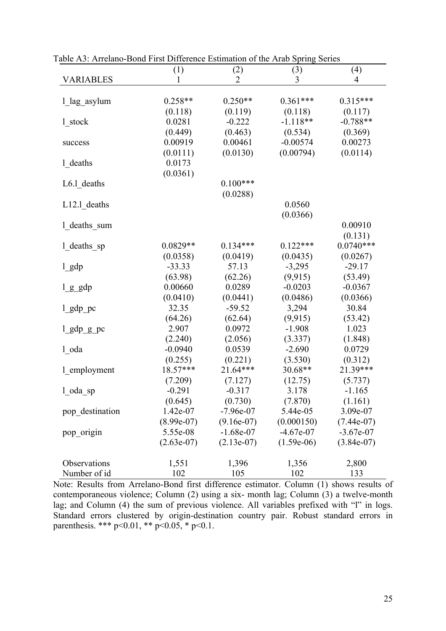|                  | (1)          | (2)          | (3)          | (4)          |
|------------------|--------------|--------------|--------------|--------------|
| <b>VARIABLES</b> | 1            | 2            | 3            | 4            |
|                  |              |              |              |              |
| 1_lag_asylum     | $0.258**$    | $0.250**$    | $0.361***$   | $0.315***$   |
|                  | (0.118)      | (0.119)      | (0.118)      | (0.117)      |
| 1 stock          | 0.0281       | $-0.222$     | $-1.118**$   | $-0.788**$   |
|                  | (0.449)      | (0.463)      | (0.534)      | (0.369)      |
| success          | 0.00919      | 0.00461      | $-0.00574$   | 0.00273      |
|                  | (0.0111)     | (0.0130)     | (0.00794)    | (0.0114)     |
| 1 deaths         | 0.0173       |              |              |              |
|                  | (0.0361)     |              |              |              |
| $L6.1$ deaths    |              | $0.100***$   |              |              |
|                  |              | (0.0288)     |              |              |
| L12.1 deaths     |              |              | 0.0560       |              |
|                  |              |              | (0.0366)     |              |
| 1 deaths sum     |              |              |              | 0.00910      |
|                  |              |              |              | (0.131)      |
| $1$ deaths sp    | $0.0829**$   | $0.134***$   | $0.122***$   | $0.0740***$  |
|                  | (0.0358)     | (0.0419)     | (0.0435)     | (0.0267)     |
| $l$ gdp          | $-33.33$     | 57.13        | $-3,295$     | $-29.17$     |
|                  | (63.98)      | (62.26)      | (9, 915)     | (53.49)      |
| $l$ $g$ $g$ dp   | 0.00660      | 0.0289       | $-0.0203$    | $-0.0367$    |
|                  | (0.0410)     | (0.0441)     | (0.0486)     | (0.0366)     |
| $l$ _gdp_pc      | 32.35        | $-59.52$     | 3,294        | 30.84        |
|                  | (64.26)      | (62.64)      | (9, 915)     | (53.42)      |
| $l$ gdp $g$ pc   | 2.907        | 0.0972       | $-1.908$     | 1.023        |
|                  | (2.240)      | (2.056)      | (3.337)      | (1.848)      |
| 1 oda            | $-0.0940$    | 0.0539       | $-2.690$     | 0.0729       |
|                  | (0.255)      | (0.221)      | (3.530)      | (0.312)      |
| 1_employment     | 18.57***     | 21.64***     | 30.68**      | 21.39***     |
|                  | (7.209)      | (7.127)      | (12.75)      | (5.737)      |
| $1$ oda sp       | $-0.291$     | $-0.317$     | 3.178        | $-1.165$     |
|                  | (0.645)      | (0.730)      | (7.870)      | (1.161)      |
| pop destination  | 1.42e-07     | $-7.96e-07$  | 5.44e-05     | 3.09e-07     |
|                  | $(8.99e-07)$ | $(9.16e-07)$ | (0.000150)   | $(7.44e-07)$ |
| pop_origin       | 5.55e-08     | $-1.68e-07$  | $-4.67e-07$  | $-3.67e-07$  |
|                  | $(2.63e-07)$ | $(2.13e-07)$ | $(1.59e-06)$ | $(3.84e-07)$ |
|                  |              |              |              |              |
| Observations     | 1,551        | 1,396        | 1,356        | 2,800        |
| Number of id     | 102          | 105          | 102          | 133          |

Table A3: Arrelano-Bond First Difference Estimation of the Arab Spring Series

Note: Results from Arrelano-Bond first difference estimator. Column (1) shows results of contemporaneous violence; Column (2) using a six- month lag; Column (3) a twelve-month lag; and Column (4) the sum of previous violence. All variables prefixed with "l" in logs. Standard errors clustered by origin-destination country pair. Robust standard errors in parenthesis. \*\*\* p<0.01, \*\* p<0.05, \* p<0.1.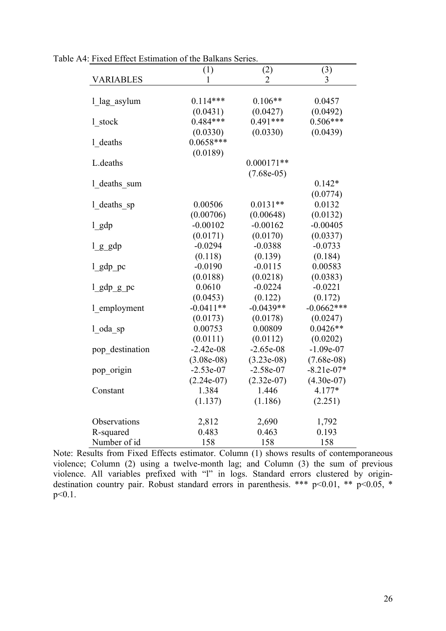|                  | (1)          | (2)                   | (3)          |
|------------------|--------------|-----------------------|--------------|
| <b>VARIABLES</b> | 1            | $\mathcal{D}_{\cdot}$ | 3            |
|                  |              |                       |              |
| 1 lag asylum     | $0.114***$   | $0.106**$             | 0.0457       |
|                  | (0.0431)     | (0.0427)              | (0.0492)     |
| 1 stock          | $0.484***$   | $0.491***$            | $0.506***$   |
|                  | (0.0330)     | (0.0330)              | (0.0439)     |
| 1 deaths         | $0.0658***$  |                       |              |
|                  | (0.0189)     |                       |              |
| L.deaths         |              | $0.000171**$          |              |
|                  |              | $(7.68e-05)$          |              |
| 1 deaths sum     |              |                       | $0.142*$     |
|                  |              |                       | (0.0774)     |
| 1 deaths sp      | 0.00506      | $0.0131**$            | 0.0132       |
|                  | (0.00706)    | (0.00648)             | (0.0132)     |
| $1$ gdp          | $-0.00102$   | $-0.00162$            | $-0.00405$   |
|                  | (0.0171)     | (0.0170)              | (0.0337)     |
| $l$ g $g$ dp     | $-0.0294$    | $-0.0388$             | $-0.0733$    |
|                  | (0.118)      | (0.139)               | (0.184)      |
| $1$ gdp pc       | $-0.0190$    | $-0.0115$             | 0.00583      |
|                  | (0.0188)     | (0.0218)              | (0.0383)     |
| l_gdp_g_pc       | 0.0610       | $-0.0224$             | $-0.0221$    |
|                  | (0.0453)     | (0.122)               | (0.172)      |
| 1 employment     | $-0.0411**$  | $-0.0439**$           | $-0.0662***$ |
|                  | (0.0173)     | (0.0178)              | (0.0247)     |
| l oda sp         | 0.00753      | 0.00809               | $0.0426**$   |
|                  | (0.0111)     | (0.0112)              | (0.0202)     |
| pop destination  | $-2.42e-08$  | $-2.65e-08$           | $-1.09e-07$  |
|                  | $(3.08e-08)$ | $(3.23e-08)$          | $(7.68e-08)$ |
| pop_origin       | $-2.53e-07$  | $-2.58e-07$           | $-8.21e-07*$ |
|                  | $(2.24e-07)$ | $(2.32e-07)$          | $(4.30e-07)$ |
| Constant         | 1.384        | 1.446                 | 4.177*       |
|                  | (1.137)      | (1.186)               | (2.251)      |
|                  |              |                       |              |
| Observations     | 2,812        | 2,690                 | 1,792        |
| R-squared        | 0.483        | 0.463                 | 0.193        |
| Number of id     | 158          | 158                   | 158          |

Table A4: Fixed Effect Estimation of the Balkans Series.

Note: Results from Fixed Effects estimator. Column (1) shows results of contemporaneous violence; Column (2) using a twelve-month lag; and Column (3) the sum of previous violence. All variables prefixed with "l" in logs. Standard errors clustered by origindestination country pair. Robust standard errors in parenthesis. \*\*\* p<0.01, \*\* p<0.05, \* p<0.1.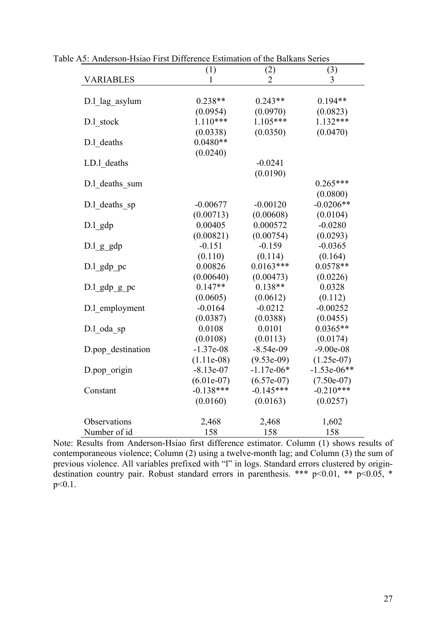|                   | (1)          | (2)            | (3)           |
|-------------------|--------------|----------------|---------------|
| <b>VARIABLES</b>  | 1            | $\overline{2}$ | 3             |
| D.l lag asylum    | $0.238**$    | $0.243**$      | $0.194**$     |
|                   | (0.0954)     | (0.0970)       | (0.0823)      |
| D.l stock         | $1.110***$   | $1.105***$     | $1.132***$    |
|                   | (0.0338)     | (0.0350)       | (0.0470)      |
| D.1 deaths        | $0.0480**$   |                |               |
|                   | (0.0240)     |                |               |
| LD.1 deaths       |              | $-0.0241$      |               |
|                   |              | (0.0190)       |               |
| D.1 deaths sum    |              |                | $0.265***$    |
|                   |              |                | (0.0800)      |
| D.l deaths sp     | $-0.00677$   | $-0.00120$     | $-0.0206**$   |
|                   | (0.00713)    | (0.00608)      | (0.0104)      |
| $D.1$ gdp         | 0.00405      | 0.000572       | $-0.0280$     |
|                   | (0.00821)    | (0.00754)      | (0.0293)      |
| D.l g gdp         | $-0.151$     | $-0.159$       | $-0.0365$     |
|                   | (0.110)      | (0.114)        | (0.164)       |
| D.l gdp pc        | 0.00826      | $0.0163***$    | $0.0578**$    |
|                   | (0.00640)    | (0.00473)      | (0.0226)      |
| $D.l$ gdp $g$ pc  | $0.147**$    | $0.138**$      | 0.0328        |
|                   | (0.0605)     | (0.0612)       | (0.112)       |
| D.1 employment    | $-0.0164$    | $-0.0212$      | $-0.00252$    |
|                   | (0.0387)     | (0.0388)       | (0.0455)      |
| D.l oda sp        | 0.0108       | 0.0101         | $0.0365**$    |
|                   | (0.0108)     | (0.0113)       | (0.0174)      |
| D.pop destination | $-1.37e-08$  | $-8.54e-09$    | $-9.00e-08$   |
|                   | $(1.11e-08)$ | $(9.53e-09)$   | $(1.25e-07)$  |
| D.pop origin      | $-8.13e-07$  | $-1.17e-06*$   | $-1.53e-06**$ |
|                   | $(6.01e-07)$ | $(6.57e-07)$   | $(7.50e-07)$  |
| Constant          | $-0.138***$  | $-0.145***$    | $-0.210***$   |
|                   | (0.0160)     | (0.0163)       | (0.0257)      |
| Observations      | 2,468        | 2,468          | 1,602         |
| Number of id      | 158          | 158            | 158           |

Table A5: Anderson-Hsiao First Difference Estimation of the Balkans Series

Note: Results from Anderson-Hsiao first difference estimator. Column (1) shows results of contemporaneous violence; Column (2) using a twelve-month lag; and Column (3) the sum of previous violence. All variables prefixed with "l" in logs. Standard errors clustered by origindestination country pair. Robust standard errors in parenthesis. \*\*\* p<0.01, \*\* p<0.05, \* p<0.1.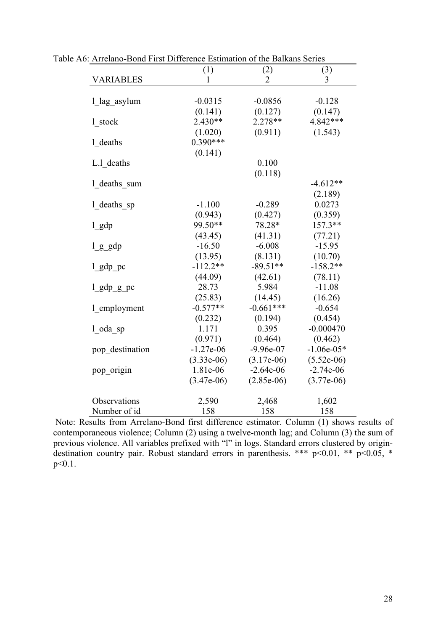|                  | (1)          | (2)            | (3)          |
|------------------|--------------|----------------|--------------|
| <b>VARIABLES</b> | 1            | $\overline{2}$ | 3            |
| 1 lag asylum     | $-0.0315$    | $-0.0856$      | $-0.128$     |
|                  | (0.141)      | (0.127)        | (0.147)      |
| 1 stock          | $2.430**$    | $2.278**$      | 4.842***     |
|                  | (1.020)      | (0.911)        | (1.543)      |
| 1 deaths         | $0.390***$   |                |              |
|                  | (0.141)      |                |              |
| L.1 deaths       |              | 0.100          |              |
|                  |              | (0.118)        |              |
| 1 deaths sum     |              |                | $-4.612**$   |
|                  |              |                | (2.189)      |
| 1 deaths sp      | $-1.100$     | $-0.289$       | 0.0273       |
|                  | (0.943)      | (0.427)        | (0.359)      |
| $1$ gdp          | 99.50**      | 78.28*         | $157.3**$    |
|                  | (43.45)      | (41.31)        | (77.21)      |
| $l$ $g$ $g$ dp   | $-16.50$     | $-6.008$       | $-15.95$     |
|                  | (13.95)      | (8.131)        | (10.70)      |
| $1$ gdp pc       | $-112.2**$   | $-89.51**$     | $-158.2**$   |
|                  | (44.09)      | (42.61)        | (78.11)      |
| $1$ gdp $g$ pc   | 28.73        | 5.984          | $-11.08$     |
|                  | (25.83)      | (14.45)        | (16.26)      |
| 1 employment     | $-0.577**$   | $-0.661***$    | $-0.654$     |
|                  | (0.232)      | (0.194)        | (0.454)      |
| l oda sp         | 1.171        | 0.395          | $-0.000470$  |
|                  | (0.971)      | (0.464)        | (0.462)      |
| pop destination  | $-1.27e-06$  | $-9.96e-07$    | $-1.06e-05*$ |
|                  | $(3.33e-06)$ | $(3.17e-06)$   | $(5.52e-06)$ |
| pop_origin       | 1.81e-06     | $-2.64e-06$    | $-2.74e-06$  |
|                  | $(3.47e-06)$ | $(2.85e-06)$   | $(3.77e-06)$ |
| Observations     | 2,590        | 2,468          | 1,602        |
| Number of id     | 158          | 158            | 158          |

Table A6: Arrelano-Bond First Difference Estimation of the Balkans Series

Note: Results from Arrelano-Bond first difference estimator. Column (1) shows results of contemporaneous violence; Column (2) using a twelve-month lag; and Column (3) the sum of previous violence. All variables prefixed with "l" in logs. Standard errors clustered by origindestination country pair. Robust standard errors in parenthesis. \*\*\* p<0.01, \*\* p<0.05, \*  $p < 0.1$ .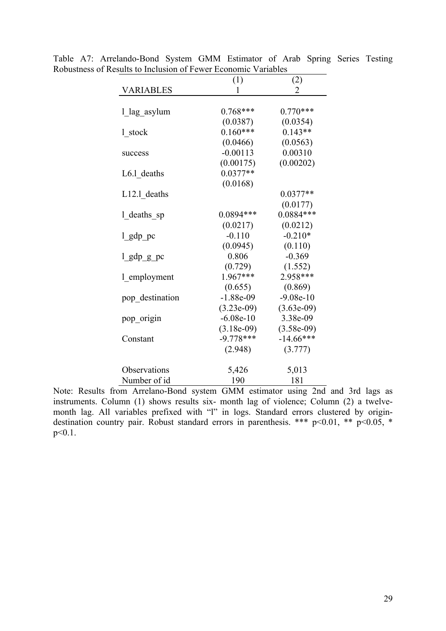|                 | (1)          | (2)            |
|-----------------|--------------|----------------|
| VARIABLES       | 1            | $\overline{2}$ |
| 1_lag_asylum    | $0.768***$   | $0.770***$     |
|                 | (0.0387)     | (0.0354)       |
| 1 stock         | $0.160***$   | $0.143**$      |
|                 | (0.0466)     | (0.0563)       |
| success         | $-0.00113$   | 0.00310        |
|                 | (0.00175)    | (0.00202)      |
| L6.1 deaths     | $0.0377**$   |                |
|                 | (0.0168)     |                |
| L12.1 deaths    |              | $0.0377**$     |
|                 |              | (0.0177)       |
| 1_deaths_sp     | 0.0894 ***   | $0.0884***$    |
|                 | (0.0217)     | (0.0212)       |
| $1$ gdp $pc$    | $-0.110$     | $-0.210*$      |
|                 | (0.0945)     | (0.110)        |
| l_gdp_g_pc      | 0.806        | $-0.369$       |
|                 | (0.729)      | (1.552)        |
| 1 employment    | 1.967***     | 2.958***       |
|                 | (0.655)      | (0.869)        |
| pop destination | $-1.88e-09$  | $-9.08e-10$    |
|                 | $(3.23e-09)$ | $(3.63e-09)$   |
| pop_origin      | $-6.08e-10$  | 3.38e-09       |
|                 | $(3.18e-09)$ | $(3.58e-09)$   |
| Constant        | $-9.778***$  | $-14.66***$    |
|                 | (2.948)      | (3.777)        |
| Observations    | 5,426        | 5,013          |
| Number of id    | 190          | 181            |

Table A7: Arrelando-Bond System GMM Estimator of Arab Spring Series Testing Robustness of Results to Inclusion of Fewer Economic Variables

Note: Results from Arrelano-Bond system GMM estimator using 2nd and 3rd lags as instruments. Column (1) shows results six- month lag of violence; Column (2) a twelvemonth lag. All variables prefixed with "l" in logs. Standard errors clustered by origindestination country pair. Robust standard errors in parenthesis. \*\*\* p<0.01, \*\* p<0.05, \*  $p<0.1$ .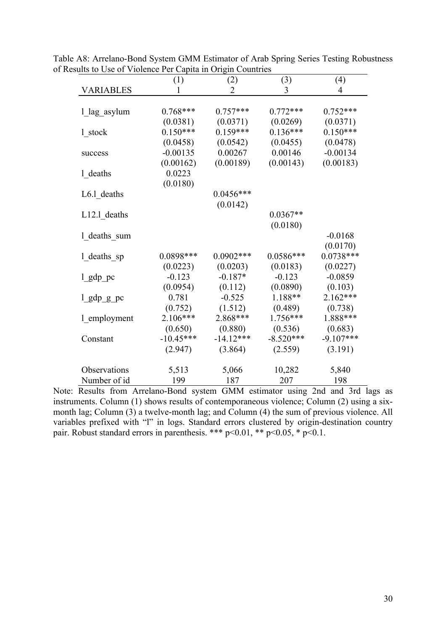|                  | (1)         | (2)          | (3)         | (4)         |
|------------------|-------------|--------------|-------------|-------------|
| <b>VARIABLES</b> |             | 2            | 3           | 4           |
|                  |             |              |             |             |
| 1_lag_asylum     | $0.768***$  | $0.757***$   | $0.772***$  | $0.752***$  |
|                  | (0.0381)    | (0.0371)     | (0.0269)    | (0.0371)    |
| 1 stock          | $0.150***$  | $0.159***$   | $0.136***$  | $0.150***$  |
|                  | (0.0458)    | (0.0542)     | (0.0455)    | (0.0478)    |
| success          | $-0.00135$  | 0.00267      | 0.00146     | $-0.00134$  |
|                  | (0.00162)   | (0.00189)    | (0.00143)   | (0.00183)   |
| 1 deaths         | 0.0223      |              |             |             |
|                  | (0.0180)    |              |             |             |
| L6.1_deaths      |             | $0.0456***$  |             |             |
|                  |             | (0.0142)     |             |             |
| $L12.1$ deaths   |             |              | $0.0367**$  |             |
|                  |             |              | (0.0180)    |             |
| 1 deaths sum     |             |              |             | $-0.0168$   |
|                  |             |              |             | (0.0170)    |
| 1_deaths_sp      | 0.0898***   | $0.0902$ *** | $0.0586***$ | $0.0738***$ |
|                  | (0.0223)    | (0.0203)     | (0.0183)    | (0.0227)    |
| $l$ gdp pc       | $-0.123$    | $-0.187*$    | $-0.123$    | $-0.0859$   |
|                  | (0.0954)    | (0.112)      | (0.0890)    | (0.103)     |
| $l$ _gdp_g_pc    | 0.781       | $-0.525$     | 1.188**     | $2.162***$  |
|                  | (0.752)     | (1.512)      | (0.489)     | (0.738)     |
| 1_employment     | 2.106***    | 2.868***     | 1.756***    | 1.888***    |
|                  | (0.650)     | (0.880)      | (0.536)     | (0.683)     |
| Constant         | $-10.45***$ | $-14.12***$  | $-8.520***$ | $-9.107***$ |
|                  | (2.947)     | (3.864)      | (2.559)     | (3.191)     |
| Observations     | 5,513       | 5,066        | 10,282      | 5,840       |
| Number of id     | 199         | 187          | 207         | 198         |

Table A8: Arrelano-Bond System GMM Estimator of Arab Spring Series Testing Robustness of Results to Use of Violence Per Capita in Origin Countries

Note: Results from Arrelano-Bond system GMM estimator using 2nd and 3rd lags as instruments. Column (1) shows results of contemporaneous violence; Column (2) using a sixmonth lag; Column (3) a twelve-month lag; and Column (4) the sum of previous violence. All variables prefixed with "l" in logs. Standard errors clustered by origin-destination country pair. Robust standard errors in parenthesis. \*\*\*  $p<0.01$ , \*\*  $p<0.05$ , \*  $p<0.1$ .